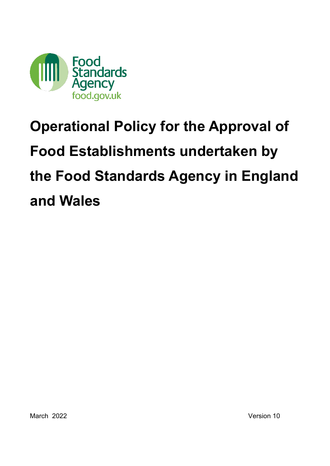

# <span id="page-0-0"></span>**Operational Policy for the Approval of Food Establishments undertaken by the Food Standards Agency in England and Wales**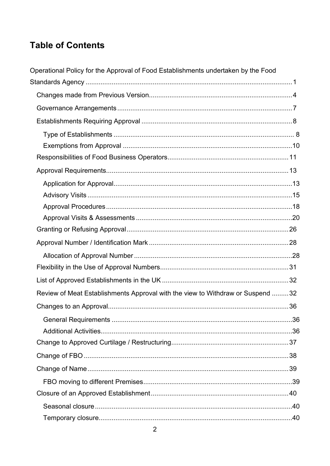## **Table of Contents**

| Operational Policy for the Approval of Food Establishments undertaken by the Food |  |
|-----------------------------------------------------------------------------------|--|
|                                                                                   |  |
|                                                                                   |  |
|                                                                                   |  |
|                                                                                   |  |
|                                                                                   |  |
|                                                                                   |  |
|                                                                                   |  |
|                                                                                   |  |
|                                                                                   |  |
|                                                                                   |  |
|                                                                                   |  |
|                                                                                   |  |
|                                                                                   |  |
|                                                                                   |  |
|                                                                                   |  |
|                                                                                   |  |
|                                                                                   |  |
| Review of Meat Establishments Approval with the view to Withdraw or Suspend  32   |  |
|                                                                                   |  |
|                                                                                   |  |
|                                                                                   |  |
|                                                                                   |  |
|                                                                                   |  |
|                                                                                   |  |
|                                                                                   |  |
|                                                                                   |  |
|                                                                                   |  |
|                                                                                   |  |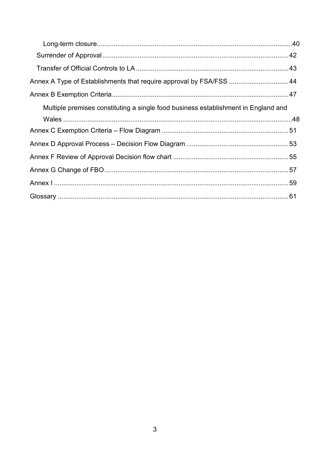<span id="page-2-0"></span>

| Annex A Type of Establishments that require approval by FSA/FSS  44                |  |
|------------------------------------------------------------------------------------|--|
|                                                                                    |  |
| Multiple premises constituting a single food business establishment in England and |  |
|                                                                                    |  |
|                                                                                    |  |
|                                                                                    |  |
|                                                                                    |  |
|                                                                                    |  |
|                                                                                    |  |
|                                                                                    |  |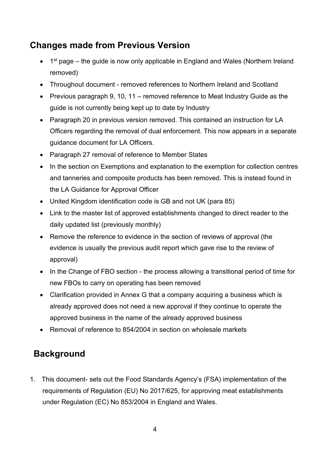## **Changes made from Previous Version**

- $\bullet$  1<sup>st</sup> page the guide is now only applicable in England and Wales (Northern Ireland removed)
- Throughout document removed references to Northern Ireland and Scotland
- Previous paragraph 9, 10, 11 removed reference to Meat Industry Guide as the guide is not currently being kept up to date by Industry
- Paragraph 20 in previous version removed. This contained an instruction for LA Officers regarding the removal of dual enforcement. This now appears in a separate guidance document for LA Officers.
- Paragraph 27 removal of reference to Member States
- In the section on Exemptions and explanation to the exemption for collection centres and tanneries and composite products has been removed. This is instead found in the LA Guidance for Approval Officer
- United Kingdom identification code is GB and not UK (para 85)
- Link to the master list of approved establishments changed to direct reader to the daily updated list (previously monthly)
- Remove the reference to evidence in the section of reviews of approval (the evidence is usually the previous audit report which gave rise to the review of approval)
- In the Change of FBO section the process allowing a transitional period of time for new FBOs to carry on operating has been removed
- Clarification provided in Annex G that a company acquiring a business which is already approved does not need a new approval if they continue to operate the approved business in the name of the already approved business
- Removal of reference to 854/2004 in section on wholesale markets

## **Background**

1. This document- sets out the Food Standards Agency's (FSA) implementation of the requirements of Regulation (EU) No 2017/625, for approving meat establishments under Regulation (EC) No 853/2004 in England and Wales.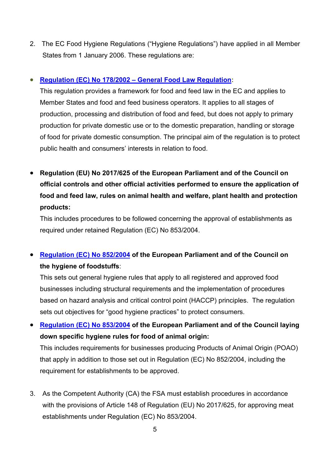2. The EC Food Hygiene Regulations ("Hygiene Regulations") have applied in all Member States from 1 January 2006. These regulations are:

### • **[Regulation \(EC\) No 178/2002 – General Food Law Regulation:](https://eur-lex.europa.eu/legal-content/EN/TXT/PDF/?uri=CELEX:32002R0178&from=EN)**

This regulation provides a framework for food and feed law in the EC and applies to Member States and food and feed business operators. It applies to all stages of production, processing and distribution of food and feed, but does not apply to primary production for private domestic use or to the domestic preparation, handling or storage of food for private domestic consumption. The principal aim of the regulation is to protect public health and consumers' interests in relation to food.

• **Regulation (EU) No 2017/625 of the European Parliament and of the Council on official controls and other official activities performed to ensure the application of food and feed law, rules on animal health and welfare, plant health and protection products:**

This includes procedures to be followed concerning the approval of establishments as required under retained Regulation (EC) No 853/2004.

## • **[Regulation \(EC\) No 852/2004](https://eur-lex.europa.eu/legal-content/EN/TXT/PDF/?uri=CELEX:32004R0852R(01)&from=EN) of the European Parliament and of the Council on the hygiene of foodstuffs**:

This sets out general hygiene rules that apply to all registered and approved food businesses including structural requirements and the implementation of procedures based on hazard analysis and critical control point (HACCP) principles. The regulation sets out objectives for "good hygiene practices" to protect consumers.

• **[Regulation \(EC\) No 853/2004](https://eur-lex.europa.eu/LexUriServ/LexUriServ.do?uri=OJ:L:2004:139:0055:0205:en:PDF) of the European Parliament and of the Council laying down specific hygiene rules for food of animal origin:** 

This includes requirements for businesses producing Products of Animal Origin (POAO) that apply in addition to those set out in Regulation (EC) No 852/2004, including the requirement for establishments to be approved.

3. As the Competent Authority (CA) the FSA must establish procedures in accordance with the provisions of Article 148 of Regulation (EU) No 2017/625, for approving meat establishments under Regulation (EC) No 853/2004.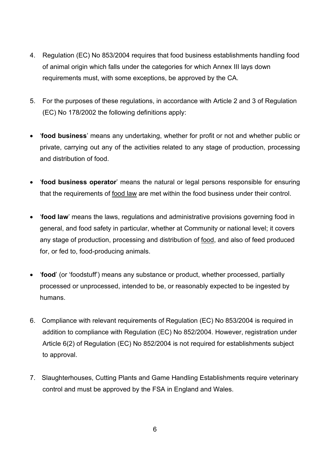- 4. Regulation (EC) No 853/2004 requires that food business establishments handling food of animal origin which falls under the categories for which Annex III lays down requirements must, with some exceptions, be approved by the CA.
- 5. For the purposes of these regulations, in accordance with Article 2 and 3 of Regulation (EC) No 178/2002 the following definitions apply:
- '**food business**' means any undertaking, whether for profit or not and whether public or private, carrying out any of the activities related to any stage of production, processing and distribution of food.
- '**food business operator**' means the natural or legal persons responsible for ensuring that the requirements of food law are met within the food business under their control.
- '**food law**' means the laws, regulations and administrative provisions governing food in general, and food safety in particular, whether at Community or national level; it covers any stage of production, processing and distribution of food, and also of feed produced for, or fed to, food-producing animals.
- '**food**' (or 'foodstuff') means any substance or product, whether processed, partially processed or unprocessed, intended to be, or reasonably expected to be ingested by humans.
- 6. Compliance with relevant requirements of Regulation (EC) No 853/2004 is required in addition to compliance with Regulation (EC) No 852/2004. However, registration under Article 6(2) of Regulation (EC) No 852/2004 is not required for establishments subject to approval.
- 7. Slaughterhouses, Cutting Plants and Game Handling Establishments require veterinary control and must be approved by the FSA in England and Wales.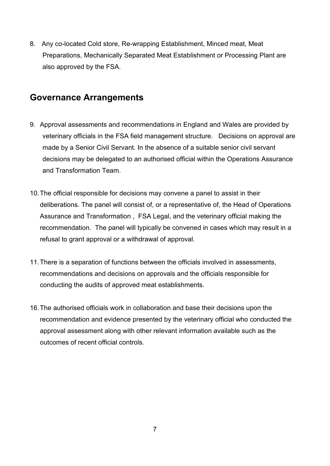8. Any co-located Cold store, Re-wrapping Establishment, Minced meat, Meat Preparations, Mechanically Separated Meat Establishment or Processing Plant are also approved by the FSA.

## <span id="page-6-0"></span>**Governance Arrangements**

- 9. Approval assessments and recommendations in England and Wales are provided by veterinary officials in the FSA field management structure. Decisions on approval are made by a Senior Civil Servant. In the absence of a suitable senior civil servant decisions may be delegated to an authorised official within the Operations Assurance and Transformation Team.
- 10.The official responsible for decisions may convene a panel to assist in their deliberations. The panel will consist of, or a representative of, the Head of Operations Assurance and Transformation , FSA Legal, and the veterinary official making the recommendation. The panel will typically be convened in cases which may result in a refusal to grant approval or a withdrawal of approval.
- 11.There is a separation of functions between the officials involved in assessments, recommendations and decisions on approvals and the officials responsible for conducting the audits of approved meat establishments.
- 16.The authorised officials work in collaboration and base their decisions upon the recommendation and evidence presented by the veterinary official who conducted the approval assessment along with other relevant information available such as the outcomes of recent official controls.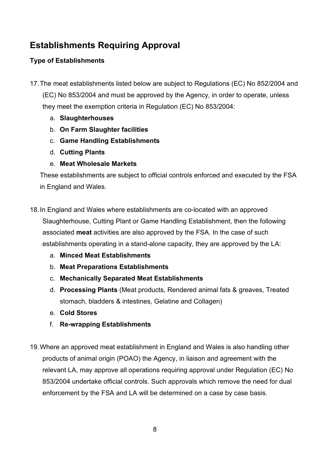## <span id="page-7-0"></span>**Establishments Requiring Approval**

### <span id="page-7-1"></span>**Type of Establishments**

17.The meat establishments listed below are subject to Regulations (EC) No 852/2004 and

(EC) No 853/2004 and must be approved by the Agency, in order to operate, unless they meet the exemption criteria in Regulation (EC) No 853/2004:

- a. **Slaughterhouses**
- b. **On Farm Slaughter facilities**
- c. **Game Handling Establishments**
- d. **Cutting Plants**
- e. **Meat Wholesale Markets**

These establishments are subject to official controls enforced and executed by the FSA in England and Wales.

- 18.In England and Wales where establishments are co-located with an approved Slaughterhouse, Cutting Plant or Game Handling Establishment, then the following associated **meat** activities are also approved by the FSA. In the case of such establishments operating in a stand-alone capacity, they are approved by the LA:
	- a. **Minced Meat Establishments**
	- b. **Meat Preparations Establishments**
	- c. **Mechanically Separated Meat Establishments**
	- d. **Processing Plants** (Meat products, Rendered animal fats & greaves, Treated stomach, bladders & intestines, Gelatine and Collagen)
	- e. **Cold Stores**
	- f. **Re-wrapping Establishments**
- 19.Where an approved meat establishment in England and Wales is also handling other products of animal origin (POAO) the Agency, in liaison and agreement with the relevant LA, may approve all operations requiring approval under Regulation (EC) No 853/2004 undertake official controls. Such approvals which remove the need for dual enforcement by the FSA and LA will be determined on a case by case basis.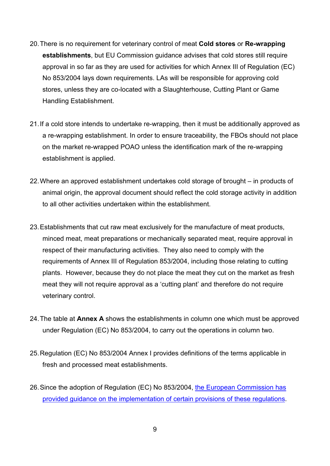- 20.There is no requirement for veterinary control of meat **Cold stores** or **Re-wrapping establishments**, but EU Commission guidance advises that cold stores still require approval in so far as they are used for activities for which Annex III of Regulation (EC) No 853/2004 lays down requirements. LAs will be responsible for approving cold stores, unless they are co-located with a Slaughterhouse, Cutting Plant or Game Handling Establishment.
- 21.If a cold store intends to undertake re-wrapping, then it must be additionally approved as a re-wrapping establishment. In order to ensure traceability, the FBOs should not place on the market re-wrapped POAO unless the identification mark of the re-wrapping establishment is applied.
- 22.Where an approved establishment undertakes cold storage of brought in products of animal origin, the approval document should reflect the cold storage activity in addition to all other activities undertaken within the establishment.
- 23. Establishments that cut raw meat exclusively for the manufacture of meat products, minced meat, meat preparations or mechanically separated meat, require approval in respect of their manufacturing activities. They also need to comply with the requirements of Annex III of Regulation 853/2004, including those relating to cutting plants. However, because they do not place the meat they cut on the market as fresh meat they will not require approval as a 'cutting plant' and therefore do not require veterinary control.
- 24.The table at **Annex A** shows the establishments in column one which must be approved under Regulation (EC) No 853/2004, to carry out the operations in column two.
- 25.Regulation (EC) No 853/2004 Annex I provides definitions of the terms applicable in fresh and processed meat establishments.
- 26.Since the adoption of Regulation (EC) No 853/2004, [the European Commission has](http://ec.europa.eu/food/food/biosafety/hygienelegislation/guidance_doc_853-2004_en.pdf)  [provided guidance on the implementation of certain provisions of these regulations.](http://ec.europa.eu/food/food/biosafety/hygienelegislation/guidance_doc_853-2004_en.pdf)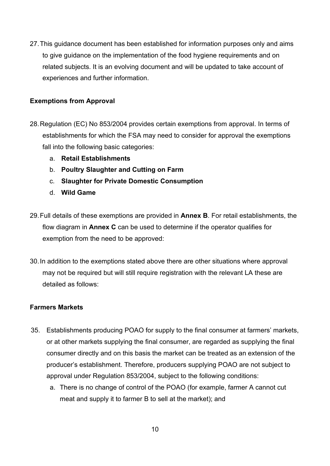27.This guidance document has been established for information purposes only and aims to give guidance on the implementation of the food hygiene requirements and on related subjects. It is an evolving document and will be updated to take account of experiences and further information.

#### <span id="page-9-0"></span>**Exemptions from Approval**

- 28.Regulation (EC) No 853/2004 provides certain exemptions from approval. In terms of establishments for which the FSA may need to consider for approval the exemptions fall into the following basic categories:
	- a. **Retail Establishments**
	- b. **Poultry Slaughter and Cutting on Farm**
	- c. **Slaughter for Private Domestic Consumption**
	- d. **Wild Game**
- 29.Full details of these exemptions are provided in **Annex B**. For retail establishments, the flow diagram in **Annex C** can be used to determine if the operator qualifies for exemption from the need to be approved:
- 30.In addition to the exemptions stated above there are other situations where approval may not be required but will still require registration with the relevant LA these are detailed as follows:

#### **Farmers Markets**

- 35. Establishments producing POAO for supply to the final consumer at farmers' markets, or at other markets supplying the final consumer, are regarded as supplying the final consumer directly and on this basis the market can be treated as an extension of the producer's establishment. Therefore, producers supplying POAO are not subject to approval under Regulation 853/2004, subject to the following conditions:
	- a. There is no change of control of the POAO (for example, farmer A cannot cut meat and supply it to farmer B to sell at the market); and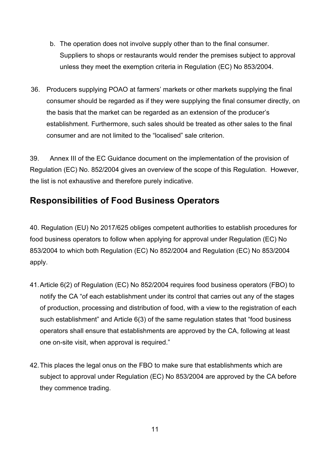- b. The operation does not involve supply other than to the final consumer. Suppliers to shops or restaurants would render the premises subject to approval unless they meet the exemption criteria in Regulation (EC) No 853/2004.
- 36. Producers supplying POAO at farmers' markets or other markets supplying the final consumer should be regarded as if they were supplying the final consumer directly, on the basis that the market can be regarded as an extension of the producer's establishment. Furthermore, such sales should be treated as other sales to the final consumer and are not limited to the "localised" sale criterion.

39. Annex III of the EC Guidance document on the implementation of the provision of Regulation (EC) No. 852/2004 gives an overview of the scope of this Regulation. However, the list is not exhaustive and therefore purely indicative.

## <span id="page-10-0"></span>**Responsibilities of Food Business Operators**

40. Regulation (EU) No 2017/625 obliges competent authorities to establish procedures for food business operators to follow when applying for approval under Regulation (EC) No 853/2004 to which both Regulation (EC) No 852/2004 and Regulation (EC) No 853/2004 apply.

- 41.Article 6(2) of Regulation (EC) No 852/2004 requires food business operators (FBO) to notify the CA "of each establishment under its control that carries out any of the stages of production, processing and distribution of food, with a view to the registration of each such establishment" and Article 6(3) of the same regulation states that "food business operators shall ensure that establishments are approved by the CA, following at least one on-site visit, when approval is required."
- 42. This places the legal onus on the FBO to make sure that establishments which are subject to approval under Regulation (EC) No 853/2004 are approved by the CA before they commence trading.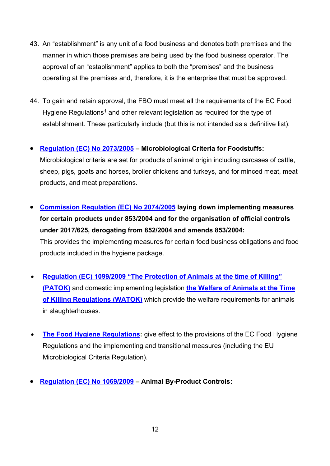- 43. An "establishment" is any unit of a food business and denotes both premises and the manner in which those premises are being used by the food business operator. The approval of an "establishment" applies to both the "premises" and the business operating at the premises and, therefore, it is the enterprise that must be approved.
- 44. To gain and retain approval, the FBO must meet all the requirements of the EC Food Hygiene Regulations<sup>[1](#page-11-0)</sup> and other relevant legislation as required for the type of establishment. These particularly include (but this is not intended as a definitive list):

#### • **[Regulation \(EC\) No 2073/2005](https://eur-lex.europa.eu/legal-content/EN/TXT/PDF/?uri=CELEX:32005R2073&from=en) – Microbiological Criteria for Foodstuffs:**

Microbiological criteria are set for products of animal origin including carcases of cattle, sheep, pigs, goats and horses, broiler chickens and turkeys, and for minced meat, meat products, and meat preparations.

- **[Commission Regulation \(EC\) No 2074/2005](https://publications.europa.eu/en/publication-detail/-/publication/4e5d8287-bfe2-4091-bd6d-c39159367b8d/language-en) laying down implementing measures for certain products under 853/2004 and for the organisation of official controls under 2017/625, derogating from 852/2004 and amends 853/2004:** This provides the implementing measures for certain food business obligations and food products included in the hygiene package.
- **[Regulation \(EC\) 1099/2009 "The Protection of Animals at the time of Killing"](https://assets.publishing.service.gov.uk/government/uploads/system/uploads/attachment_data/file/325000/regulation_1099_2009_en.pdf)  [\(PATOK\)](https://assets.publishing.service.gov.uk/government/uploads/system/uploads/attachment_data/file/325000/regulation_1099_2009_en.pdf)** and domestic implementing legislation **[the Welfare of Animals at the Time](http://www.legislation.gov.uk/uksi/2015/1782/contents/made)  [of Killing Regulations \(WATOK\)](http://www.legislation.gov.uk/uksi/2015/1782/contents/made)** which provide the welfare requirements for animals in slaughterhouses.
- **[The Food Hygiene Regulations:](http://www.legislation.gov.uk/uksi/2013/2996/contents/made)** give effect to the provisions of the EC Food Hygiene Regulations and the implementing and transitional measures (including the EU Microbiological Criteria Regulation).
- <span id="page-11-0"></span>• **[Regulation \(EC\) No 1069/2009](https://eur-lex.europa.eu/legal-content/EN/ALL/?uri=CELEX:32009R1069) – Animal By-Product Controls:**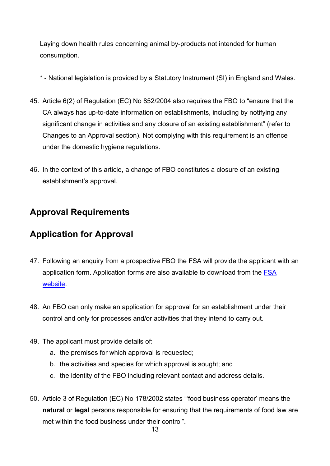Laying down health rules concerning animal by-products not intended for human consumption.

- \* National legislation is provided by a Statutory Instrument (SI) in England and Wales.
- 45. Article 6(2) of Regulation (EC) No 852/2004 also requires the FBO to "ensure that the CA always has up-to-date information on establishments, including by notifying any significant change in activities and any closure of an existing establishment" (refer to Changes to an Approval section). Not complying with this requirement is an offence under the domestic hygiene regulations.
- 46. In the context of this article, a change of FBO constitutes a closure of an existing establishment's approval.

## <span id="page-12-0"></span>**Approval Requirements**

## <span id="page-12-1"></span>**Application for Approval**

- 47. Following an enquiry from a prospective FBO the FSA will provide the applicant with an application form. Application forms are also available to download from the [FSA](https://www.food.gov.uk/business-guidance/applying-for-approval-of-a-meat-establishment)  [website.](https://www.food.gov.uk/business-guidance/applying-for-approval-of-a-meat-establishment)
- 48. An FBO can only make an application for approval for an establishment under their control and only for processes and/or activities that they intend to carry out.
- 49. The applicant must provide details of:
	- a. the premises for which approval is requested;
	- b. the activities and species for which approval is sought; and
	- c. the identity of the FBO including relevant contact and address details.
- 50. Article 3 of Regulation (EC) No 178/2002 states "'food business operator' means the **natural** or **legal** persons responsible for ensuring that the requirements of food law are met within the food business under their control"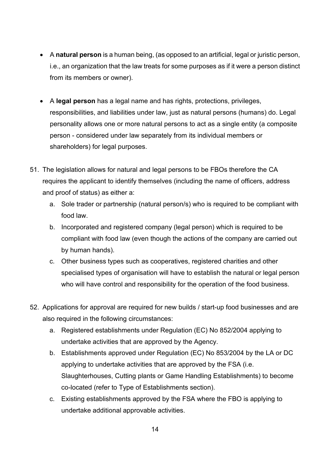- A **natural person** is a human being, (as opposed to an artificial, legal or juristic person, i.e., an organization that the law treats for some purposes as if it were a person distinct from its members or owner).
- A **legal person** has a legal name and has rights, protections, privileges, responsibilities, and liabilities under law, just as natural persons (humans) do. Legal personality allows one or more natural persons to act as a single entity (a composite person - considered under law separately from its individual members or shareholders) for legal purposes.
- 51. The legislation allows for natural and legal persons to be FBOs therefore the CA requires the applicant to identify themselves (including the name of officers, address and proof of status) as either a:
	- a. Sole trader or partnership (natural person/s) who is required to be compliant with food law.
	- b. Incorporated and registered company (legal person) which is required to be compliant with food law (even though the actions of the company are carried out by human hands).
	- c. Other business types such as cooperatives, registered charities and other specialised types of organisation will have to establish the natural or legal person who will have control and responsibility for the operation of the food business.
- 52. Applications for approval are required for new builds / start-up food businesses and are also required in the following circumstances:
	- a. Registered establishments under Regulation (EC) No 852/2004 applying to undertake activities that are approved by the Agency.
	- b. Establishments approved under Regulation (EC) No 853/2004 by the LA or DC applying to undertake activities that are approved by the FSA (i.e. Slaughterhouses, Cutting plants or Game Handling Establishments) to become co-located (refer to Type of Establishments section).
	- c. Existing establishments approved by the FSA where the FBO is applying to undertake additional approvable activities.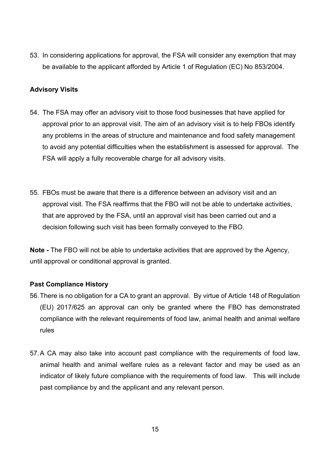53. In considering applications for approval, the FSA will consider any exemption that may be available to the applicant afforded by Article 1 of Regulation (EC) No 853/2004.

#### <span id="page-14-0"></span>**Advisory Visits**

- 54. The FSA may offer an advisory visit to those food businesses that have applied for approval prior to an approval visit. The aim of an advisory visit is to help FBOs identify any problems in the areas of structure and maintenance and food safety management to avoid any potential difficulties when the establishment is assessed for approval. The FSA will apply a fully recoverable charge for all advisory visits.
- 55. FBOs must be aware that there is a difference between an advisory visit and an approval visit. The FSA reaffirms that the FBO will not be able to undertake activities, that are approved by the FSA, until an approval visit has been carried out and a decision following such visit has been formally conveyed to the FBO.

**Note -** The FBO will not be able to undertake activities that are approved by the Agency, until approval or conditional approval is granted.

#### **Past Compliance History**

- 56.There is no obligation for a CA to grant an approval. By virtue of Article 148 of Regulation (EU) 2017/625 an approval can only be granted where the FBO has demonstrated compliance with the relevant requirements of food law, animal health and animal welfare rules
- 57.A CA may also take into account past compliance with the requirements of food law, animal health and animal welfare rules as a relevant factor and may be used as an indicator of likely future compliance with the requirements of food law. This will include past compliance by and the applicant and any relevant person.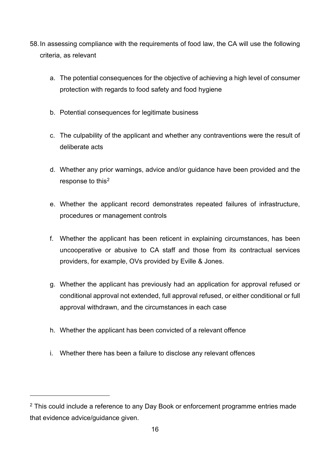- 58.In assessing compliance with the requirements of food law, the CA will use the following criteria, as relevant
	- a. The potential consequences for the objective of achieving a high level of consumer protection with regards to food safety and food hygiene
	- b. Potential consequences for legitimate business
	- c. The culpability of the applicant and whether any contraventions were the result of deliberate acts
	- d. Whether any prior warnings, advice and/or guidance have been provided and the response to this<sup>[2](#page-15-0)</sup>
	- e. Whether the applicant record demonstrates repeated failures of infrastructure, procedures or management controls
	- f. Whether the applicant has been reticent in explaining circumstances, has been uncooperative or abusive to CA staff and those from its contractual services providers, for example, OVs provided by Eville & Jones.
	- g. Whether the applicant has previously had an application for approval refused or conditional approval not extended, full approval refused, or either conditional or full approval withdrawn, and the circumstances in each case
	- h. Whether the applicant has been convicted of a relevant offence
	- i. Whether there has been a failure to disclose any relevant offences

<span id="page-15-0"></span> $2$  This could include a reference to any Day Book or enforcement programme entries made that evidence advice/guidance given.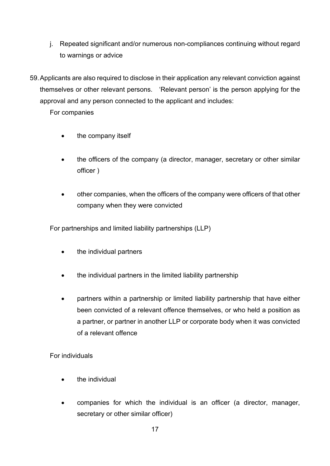j. Repeated significant and/or numerous non-compliances continuing without regard to warnings or advice

59.Applicants are also required to disclose in their application any relevant conviction against themselves or other relevant persons. 'Relevant person' is the person applying for the approval and any person connected to the applicant and includes:

For companies

- the company itself
- the officers of the company (a director, manager, secretary or other similar officer )
- other companies, when the officers of the company were officers of that other company when they were convicted

For partnerships and limited liability partnerships (LLP)

- the individual partners
- the individual partners in the limited liability partnership
- partners within a partnership or limited liability partnership that have either been convicted of a relevant offence themselves, or who held a position as a partner, or partner in another LLP or corporate body when it was convicted of a relevant offence

For individuals

- the individual
- companies for which the individual is an officer (a director, manager, secretary or other similar officer)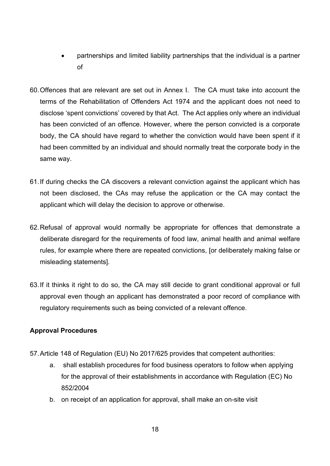- partnerships and limited liability partnerships that the individual is a partner of
- 60.Offences that are relevant are set out in Annex I. The CA must take into account the terms of the Rehabilitation of Offenders Act 1974 and the applicant does not need to disclose 'spent convictions' covered by that Act. The Act applies only where an individual has been convicted of an offence. However, where the person convicted is a corporate body, the CA should have regard to whether the conviction would have been spent if it had been committed by an individual and should normally treat the corporate body in the same way.
- 61.If during checks the CA discovers a relevant conviction against the applicant which has not been disclosed, the CAs may refuse the application or the CA may contact the applicant which will delay the decision to approve or otherwise.
- 62.Refusal of approval would normally be appropriate for offences that demonstrate a deliberate disregard for the requirements of food law, animal health and animal welfare rules, for example where there are repeated convictions, [or deliberately making false or misleading statements].
- 63.If it thinks it right to do so, the CA may still decide to grant conditional approval or full approval even though an applicant has demonstrated a poor record of compliance with regulatory requirements such as being convicted of a relevant offence.

#### <span id="page-17-0"></span>**Approval Procedures**

- 57.Article 148 of Regulation (EU) No 2017/625 provides that competent authorities:
	- a. shall establish procedures for food business operators to follow when applying for the approval of their establishments in accordance with Regulation (EC) No 852/2004
	- b. on receipt of an application for approval, shall make an on-site visit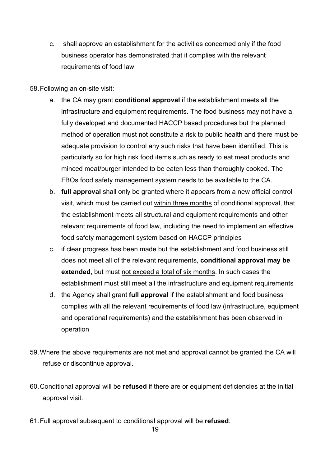c. shall approve an establishment for the activities concerned only if the food business operator has demonstrated that it complies with the relevant requirements of food law

#### 58.Following an on-site visit:

- a. the CA may grant **conditional approval** if the establishment meets all the infrastructure and equipment requirements. The food business may not have a fully developed and documented HACCP based procedures but the planned method of operation must not constitute a risk to public health and there must be adequate provision to control any such risks that have been identified. This is particularly so for high risk food items such as ready to eat meat products and minced meat/burger intended to be eaten less than thoroughly cooked. The FBOs food safety management system needs to be available to the CA.
- b. **full approval** shall only be granted where it appears from a new official control visit, which must be carried out within three months of conditional approval, that the establishment meets all structural and equipment requirements and other relevant requirements of food law, including the need to implement an effective food safety management system based on HACCP principles
- c. if clear progress has been made but the establishment and food business still does not meet all of the relevant requirements, **conditional approval may be extended**, but must not exceed a total of six months. In such cases the establishment must still meet all the infrastructure and equipment requirements
- d. the Agency shall grant **full approval** if the establishment and food business complies with all the relevant requirements of food law (infrastructure, equipment and operational requirements) and the establishment has been observed in operation
- 59.Where the above requirements are not met and approval cannot be granted the CA will refuse or discontinue approval.
- 60.Conditional approval will be **refused** if there are or equipment deficiencies at the initial approval visit.
- 61.Full approval subsequent to conditional approval will be **refused**: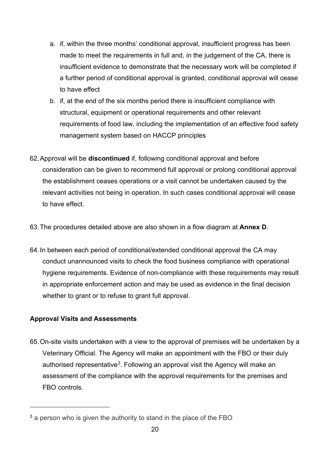- a. if, within the three months' conditional approval, insufficient progress has been made to meet the requirements in full and, in the judgement of the CA, there is insufficient evidence to demonstrate that the necessary work will be completed if a further period of conditional approval is granted, conditional approval will cease to have effect
- b. if, at the end of the six months period there is insufficient compliance with structural, equipment or operational requirements and other relevant requirements of food law, including the implementation of an effective food safety management system based on HACCP principles
- 62.Approval will be **discontinued** if, following conditional approval and before consideration can be given to recommend full approval or prolong conditional approval the establishment ceases operations or a visit cannot be undertaken caused by the relevant activities not being in operation. In such cases conditional approval will cease to have effect.
- 63.The procedures detailed above are also shown in a flow diagram at **Annex D**.
- 64.In between each period of conditional/extended conditional approval the CA may conduct unannounced visits to check the food business compliance with operational hygiene requirements. Evidence of non-compliance with these requirements may result in appropriate enforcement action and may be used as evidence in the final decision whether to grant or to refuse to grant full approval.

#### <span id="page-19-0"></span>**Approval Visits and Assessments**

65.On-site visits undertaken with a view to the approval of premises will be undertaken by a Veterinary Official. The Agency will make an appointment with the FBO or their duly authorised representative<sup>[3](#page-19-1)</sup>. Following an approval visit the Agency will make an assessment of the compliance with the approval requirements for the premises and FBO controls.

<span id="page-19-1"></span><sup>&</sup>lt;sup>3</sup> a person who is given the authority to stand in the place of the FBO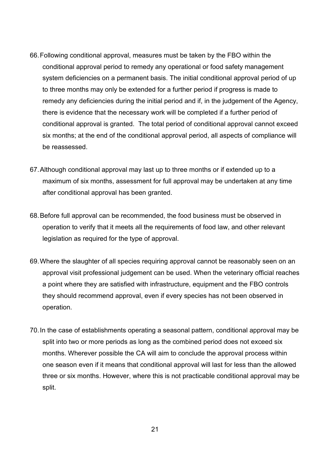- 66.Following conditional approval, measures must be taken by the FBO within the conditional approval period to remedy any operational or food safety management system deficiencies on a permanent basis. The initial conditional approval period of up to three months may only be extended for a further period if progress is made to remedy any deficiencies during the initial period and if, in the judgement of the Agency, there is evidence that the necessary work will be completed if a further period of conditional approval is granted. The total period of conditional approval cannot exceed six months; at the end of the conditional approval period, all aspects of compliance will be reassessed.
- 67.Although conditional approval may last up to three months or if extended up to a maximum of six months, assessment for full approval may be undertaken at any time after conditional approval has been granted.
- 68.Before full approval can be recommended, the food business must be observed in operation to verify that it meets all the requirements of food law, and other relevant legislation as required for the type of approval.
- 69.Where the slaughter of all species requiring approval cannot be reasonably seen on an approval visit professional judgement can be used. When the veterinary official reaches a point where they are satisfied with infrastructure, equipment and the FBO controls they should recommend approval, even if every species has not been observed in operation.
- 70.In the case of establishments operating a seasonal pattern, conditional approval may be split into two or more periods as long as the combined period does not exceed six months. Wherever possible the CA will aim to conclude the approval process within one season even if it means that conditional approval will last for less than the allowed three or six months. However, where this is not practicable conditional approval may be split.

21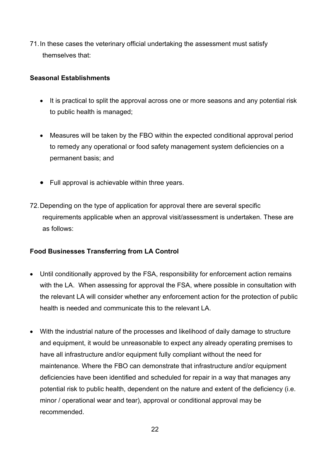71.In these cases the veterinary official undertaking the assessment must satisfy themselves that:

#### **Seasonal Establishments**

- It is practical to split the approval across one or more seasons and any potential risk to public health is managed;
- Measures will be taken by the FBO within the expected conditional approval period to remedy any operational or food safety management system deficiencies on a permanent basis; and
- Full approval is achievable within three years.
- 72.Depending on the type of application for approval there are several specific requirements applicable when an approval visit/assessment is undertaken. These are as follows:

#### **Food Businesses Transferring from LA Control**

- Until conditionally approved by the FSA, responsibility for enforcement action remains with the LA. When assessing for approval the FSA, where possible in consultation with the relevant LA will consider whether any enforcement action for the protection of public health is needed and communicate this to the relevant LA
- With the industrial nature of the processes and likelihood of daily damage to structure and equipment, it would be unreasonable to expect any already operating premises to have all infrastructure and/or equipment fully compliant without the need for maintenance. Where the FBO can demonstrate that infrastructure and/or equipment deficiencies have been identified and scheduled for repair in a way that manages any potential risk to public health, dependent on the nature and extent of the deficiency (i.e. minor / operational wear and tear), approval or conditional approval may be recommended.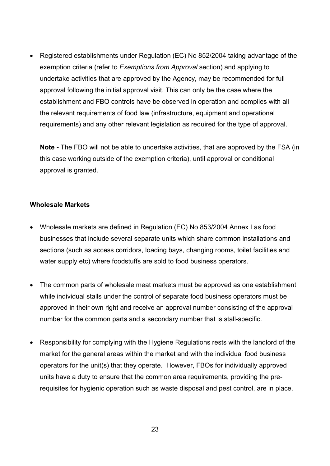• Registered establishments under Regulation (EC) No 852/2004 taking advantage of the exemption criteria (refer to *Exemptions from Approval* section) and applying to undertake activities that are approved by the Agency, may be recommended for full approval following the initial approval visit. This can only be the case where the establishment and FBO controls have be observed in operation and complies with all the relevant requirements of food law (infrastructure, equipment and operational requirements) and any other relevant legislation as required for the type of approval.

**Note -** The FBO will not be able to undertake activities, that are approved by the FSA (in this case working outside of the exemption criteria), until approval or conditional approval is granted.

#### **Wholesale Markets**

- Wholesale markets are defined in Regulation (EC) No 853/2004 Annex I as food businesses that include several separate units which share common installations and sections (such as access corridors, loading bays, changing rooms, toilet facilities and water supply etc) where foodstuffs are sold to food business operators.
- The common parts of wholesale meat markets must be approved as one establishment while individual stalls under the control of separate food business operators must be approved in their own right and receive an approval number consisting of the approval number for the common parts and a secondary number that is stall-specific.
- Responsibility for complying with the Hygiene Regulations rests with the landlord of the market for the general areas within the market and with the individual food business operators for the unit(s) that they operate. However, FBOs for individually approved units have a duty to ensure that the common area requirements, providing the prerequisites for hygienic operation such as waste disposal and pest control, are in place.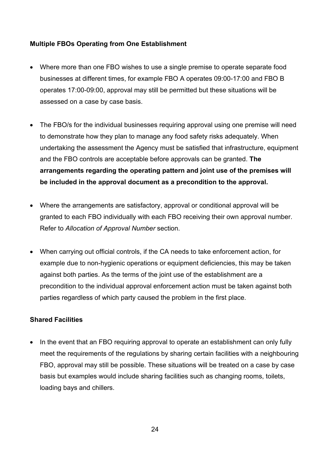#### **Multiple FBOs Operating from One Establishment**

- Where more than one FBO wishes to use a single premise to operate separate food businesses at different times, for example FBO A operates 09:00-17:00 and FBO B operates 17:00-09:00, approval may still be permitted but these situations will be assessed on a case by case basis.
- The FBO/s for the individual businesses requiring approval using one premise will need to demonstrate how they plan to manage any food safety risks adequately. When undertaking the assessment the Agency must be satisfied that infrastructure, equipment and the FBO controls are acceptable before approvals can be granted. **The arrangements regarding the operating pattern and joint use of the premises will be included in the approval document as a precondition to the approval.**
- Where the arrangements are satisfactory, approval or conditional approval will be granted to each FBO individually with each FBO receiving their own approval number. Refer to *Allocation of Approval Number* section.
- When carrying out official controls, if the CA needs to take enforcement action, for example due to non-hygienic operations or equipment deficiencies, this may be taken against both parties. As the terms of the joint use of the establishment are a precondition to the individual approval enforcement action must be taken against both parties regardless of which party caused the problem in the first place.

#### **Shared Facilities**

• In the event that an FBO requiring approval to operate an establishment can only fully meet the requirements of the regulations by sharing certain facilities with a neighbouring FBO, approval may still be possible. These situations will be treated on a case by case basis but examples would include sharing facilities such as changing rooms, toilets, loading bays and chillers.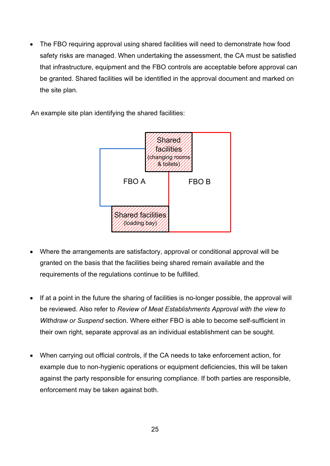• The FBO requiring approval using shared facilities will need to demonstrate how food safety risks are managed. When undertaking the assessment, the CA must be satisfied that infrastructure, equipment and the FBO controls are acceptable before approval can be granted. Shared facilities will be identified in the approval document and marked on the site plan.

An example site plan identifying the shared facilities:



- Where the arrangements are satisfactory, approval or conditional approval will be granted on the basis that the facilities being shared remain available and the requirements of the regulations continue to be fulfilled.
- If at a point in the future the sharing of facilities is no-longer possible, the approval will be reviewed. Also refer to *Review of Meat Establishments Approval with the view to Withdraw or Suspend* section. Where either FBO is able to become self-sufficient in their own right, separate approval as an individual establishment can be sought.
- When carrying out official controls, if the CA needs to take enforcement action, for example due to non-hygienic operations or equipment deficiencies, this will be taken against the party responsible for ensuring compliance. If both parties are responsible, enforcement may be taken against both.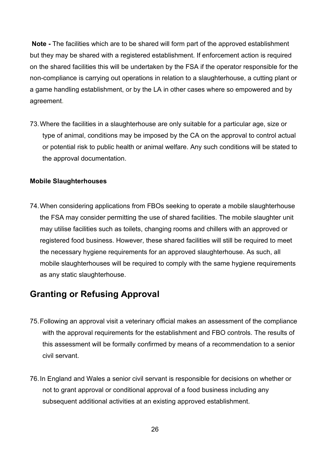**Note -** The facilities which are to be shared will form part of the approved establishment but they may be shared with a registered establishment. If enforcement action is required on the shared facilities this will be undertaken by the FSA if the operator responsible for the non-compliance is carrying out operations in relation to a slaughterhouse, a cutting plant or a game handling establishment, or by the LA in other cases where so empowered and by agreement.

73.Where the facilities in a slaughterhouse are only suitable for a particular age, size or type of animal, conditions may be imposed by the CA on the approval to control actual or potential risk to public health or animal welfare. Any such conditions will be stated to the approval documentation.

#### **Mobile Slaughterhouses**

74.When considering applications from FBOs seeking to operate a mobile slaughterhouse the FSA may consider permitting the use of shared facilities. The mobile slaughter unit may utilise facilities such as toilets, changing rooms and chillers with an approved or registered food business. However, these shared facilities will still be required to meet the necessary hygiene requirements for an approved slaughterhouse. As such, all mobile slaughterhouses will be required to comply with the same hygiene requirements as any static slaughterhouse.

## <span id="page-25-0"></span>**Granting or Refusing Approval**

- 75.Following an approval visit a veterinary official makes an assessment of the compliance with the approval requirements for the establishment and FBO controls. The results of this assessment will be formally confirmed by means of a recommendation to a senior civil servant.
- 76.In England and Wales a senior civil servant is responsible for decisions on whether or not to grant approval or conditional approval of a food business including any subsequent additional activities at an existing approved establishment.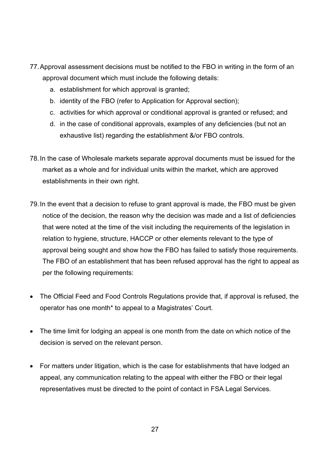- 77.Approval assessment decisions must be notified to the FBO in writing in the form of an approval document which must include the following details:
	- a. establishment for which approval is granted;
	- b. identity of the FBO (refer to Application for Approval section);
	- c. activities for which approval or conditional approval is granted or refused; and
	- d. in the case of conditional approvals, examples of any deficiencies (but not an exhaustive list) regarding the establishment &/or FBO controls.
- 78.In the case of Wholesale markets separate approval documents must be issued for the market as a whole and for individual units within the market, which are approved establishments in their own right.
- 79.In the event that a decision to refuse to grant approval is made, the FBO must be given notice of the decision, the reason why the decision was made and a list of deficiencies that were noted at the time of the visit including the requirements of the legislation in relation to hygiene, structure, HACCP or other elements relevant to the type of approval being sought and show how the FBO has failed to satisfy those requirements. The FBO of an establishment that has been refused approval has the right to appeal as per the following requirements:
- The Official Feed and Food Controls Regulations provide that, if approval is refused, the operator has one month\* to appeal to a Magistrates' Court.
- The time limit for lodging an appeal is one month from the date on which notice of the decision is served on the relevant person.
- For matters under litigation, which is the case for establishments that have lodged an appeal, any communication relating to the appeal with either the FBO or their legal representatives must be directed to the point of contact in FSA Legal Services.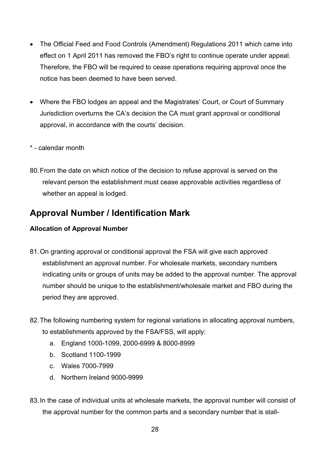- The Official Feed and Food Controls (Amendment) Regulations 2011 which came into effect on 1 April 2011 has removed the FBO's right to continue operate under appeal. Therefore, the FBO will be required to cease operations requiring approval once the notice has been deemed to have been served.
- Where the FBO lodges an appeal and the Magistrates' Court, or Court of Summary Jurisdiction overturns the CA's decision the CA must grant approval or conditional approval, in accordance with the courts' decision.
- \* calendar month
- 80.From the date on which notice of the decision to refuse approval is served on the relevant person the establishment must cease approvable activities regardless of whether an appeal is lodged.

## <span id="page-27-0"></span>**Approval Number / Identification Mark**

#### <span id="page-27-1"></span>**Allocation of Approval Number**

- 81.On granting approval or conditional approval the FSA will give each approved establishment an approval number. For wholesale markets, secondary numbers indicating units or groups of units may be added to the approval number. The approval number should be unique to the establishment/wholesale market and FBO during the period they are approved.
- 82.The following numbering system for regional variations in allocating approval numbers, to establishments approved by the FSA/FSS, will apply:
	- a. England 1000-1099, 2000-6999 & 8000-8999
	- b. Scotland 1100-1999
	- c. Wales 7000-7999
	- d. Northern Ireland 9000-9999
- 83.In the case of individual units at wholesale markets, the approval number will consist of the approval number for the common parts and a secondary number that is stall-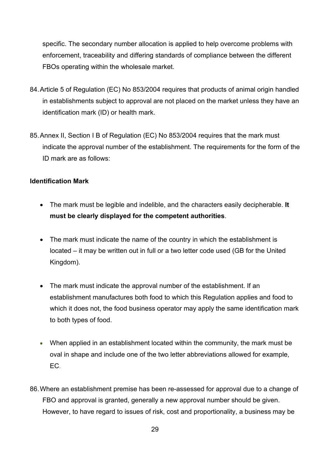specific. The secondary number allocation is applied to help overcome problems with enforcement, traceability and differing standards of compliance between the different FBOs operating within the wholesale market.

- 84.Article 5 of Regulation (EC) No 853/2004 requires that products of animal origin handled in establishments subject to approval are not placed on the market unless they have an identification mark (ID) or health mark.
- 85.Annex II, Section I B of Regulation (EC) No 853/2004 requires that the mark must indicate the approval number of the establishment. The requirements for the form of the ID mark are as follows:

#### **Identification Mark**

- The mark must be legible and indelible, and the characters easily decipherable. **It must be clearly displayed for the competent authorities**.
- The mark must indicate the name of the country in which the establishment is located – it may be written out in full or a two letter code used (GB for the United Kingdom).
- The mark must indicate the approval number of the establishment. If an establishment manufactures both food to which this Regulation applies and food to which it does not, the food business operator may apply the same identification mark to both types of food.
- When applied in an establishment located within the community, the mark must be oval in shape and include one of the two letter abbreviations allowed for example, EC.
- 86.Where an establishment premise has been re-assessed for approval due to a change of FBO and approval is granted, generally a new approval number should be given. However, to have regard to issues of risk, cost and proportionality, a business may be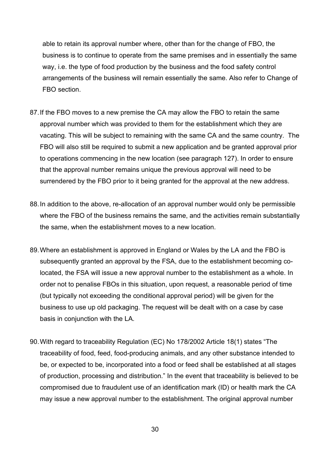able to retain its approval number where, other than for the change of FBO, the business is to continue to operate from the same premises and in essentially the same way, i.e. the type of food production by the business and the food safety control arrangements of the business will remain essentially the same. Also refer to Change of FBO section.

- 87. If the FBO moves to a new premise the CA may allow the FBO to retain the same approval number which was provided to them for the establishment which they are vacating. This will be subject to remaining with the same CA and the same country. The FBO will also still be required to submit a new application and be granted approval prior to operations commencing in the new location (see paragraph 127). In order to ensure that the approval number remains unique the previous approval will need to be surrendered by the FBO prior to it being granted for the approval at the new address.
- 88.In addition to the above, re-allocation of an approval number would only be permissible where the FBO of the business remains the same, and the activities remain substantially the same, when the establishment moves to a new location.
- 89.Where an establishment is approved in England or Wales by the LA and the FBO is subsequently granted an approval by the FSA, due to the establishment becoming colocated, the FSA will issue a new approval number to the establishment as a whole. In order not to penalise FBOs in this situation, upon request, a reasonable period of time (but typically not exceeding the conditional approval period) will be given for the business to use up old packaging. The request will be dealt with on a case by case basis in conjunction with the LA.
- 90.With regard to traceability Regulation (EC) No 178/2002 Article 18(1) states "The traceability of food, feed, food-producing animals, and any other substance intended to be, or expected to be, incorporated into a food or feed shall be established at all stages of production, processing and distribution." In the event that traceability is believed to be compromised due to fraudulent use of an identification mark (ID) or health mark the CA may issue a new approval number to the establishment. The original approval number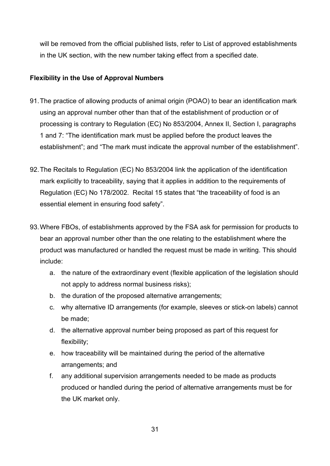will be removed from the official published lists, refer to List of approved establishments in the UK section, with the new number taking effect from a specified date.

#### <span id="page-30-0"></span>**Flexibility in the Use of Approval Numbers**

- 91.The practice of allowing products of animal origin (POAO) to bear an identification mark using an approval number other than that of the establishment of production or of processing is contrary to Regulation (EC) No 853/2004, Annex II, Section I, paragraphs 1 and 7: "The identification mark must be applied before the product leaves the establishment"; and "The mark must indicate the approval number of the establishment".
- 92.The Recitals to Regulation (EC) No 853/2004 link the application of the identification mark explicitly to traceability, saying that it applies in addition to the requirements of Regulation (EC) No 178/2002. Recital 15 states that "the traceability of food is an essential element in ensuring food safety".
- 93.Where FBOs, of establishments approved by the FSA ask for permission for products to bear an approval number other than the one relating to the establishment where the product was manufactured or handled the request must be made in writing. This should include:
	- a. the nature of the extraordinary event (flexible application of the legislation should not apply to address normal business risks);
	- b. the duration of the proposed alternative arrangements;
	- c. why alternative ID arrangements (for example, sleeves or stick-on labels) cannot be made;
	- d. the alternative approval number being proposed as part of this request for flexibility;
	- e. how traceability will be maintained during the period of the alternative arrangements; and
	- f. any additional supervision arrangements needed to be made as products produced or handled during the period of alternative arrangements must be for the UK market only.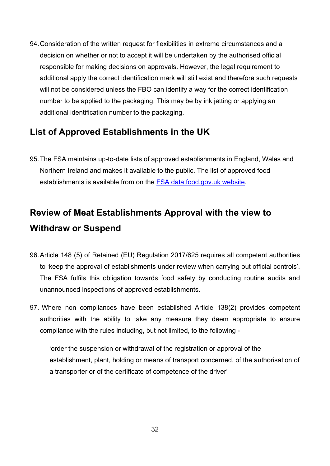94.Consideration of the written request for flexibilities in extreme circumstances and a decision on whether or not to accept it will be undertaken by the authorised official responsible for making decisions on approvals. However, the legal requirement to additional apply the correct identification mark will still exist and therefore such requests will not be considered unless the FBO can identify a way for the correct identification number to be applied to the packaging. This may be by ink jetting or applying an additional identification number to the packaging.

## <span id="page-31-0"></span>**List of Approved Establishments in the UK**

95.The FSA maintains up-to-date lists of approved establishments in England, Wales and Northern Ireland and makes it available to the public. The list of approved food establishments is available from on the [FSA data.food.gov.uk](https://data.food.gov.uk/catalog/datasets/954fb951-97a9-4953-9ebc-4fb30ddeb0d6) website.

## <span id="page-31-1"></span>**Review of Meat Establishments Approval with the view to Withdraw or Suspend**

- 96.Article 148 (5) of Retained (EU) Regulation 2017/625 requires all competent authorities to 'keep the approval of establishments under review when carrying out official controls'. The FSA fulfils this obligation towards food safety by conducting routine audits and unannounced inspections of approved establishments.
- 97. Where non compliances have been established Article 138(2) provides competent authorities with the ability to take any measure they deem appropriate to ensure compliance with the rules including, but not limited, to the following -

'order the suspension or withdrawal of the registration or approval of the establishment, plant, holding or means of transport concerned, of the authorisation of a transporter or of the certificate of competence of the driver'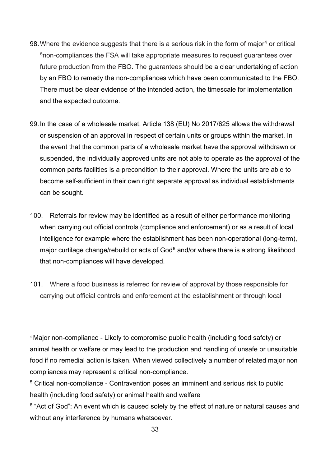- 98. Where the evidence suggests that there is a serious risk in the form of major<sup>4</sup> or critical [5n](#page-32-1)on-compliances the FSA will take appropriate measures to request guarantees over future production from the FBO. The guarantees should be a clear undertaking of action by an FBO to remedy the non-compliances which have been communicated to the FBO. There must be clear evidence of the intended action, the timescale for implementation and the expected outcome.
- 99.In the case of a wholesale market, Article 138 (EU) No 2017/625 allows the withdrawal or suspension of an approval in respect of certain units or groups within the market. In the event that the common parts of a wholesale market have the approval withdrawn or suspended, the individually approved units are not able to operate as the approval of the common parts facilities is a precondition to their approval. Where the units are able to become self-sufficient in their own right separate approval as individual establishments can be sought.
- 100. Referrals for review may be identified as a result of either performance monitoring when carrying out official controls (compliance and enforcement) or as a result of local intelligence for example where the establishment has been non-operational (long-term), major curtilage change/rebuild or acts of God<sup>[6](#page-32-2)</sup> and/or where there is a strong likelihood that non-compliances will have developed.
- 101. Where a food business is referred for review of approval by those responsible for carrying out official controls and enforcement at the establishment or through local

<span id="page-32-0"></span><sup>4</sup> Major non-compliance - Likely to compromise public health (including food safety) or animal health or welfare or may lead to the production and handling of unsafe or unsuitable food if no remedial action is taken. When viewed collectively a number of related major non compliances may represent a critical non-compliance.

<span id="page-32-1"></span><sup>5</sup> Critical non-compliance - Contravention poses an imminent and serious risk to public health (including food safety) or animal health and welfare

<span id="page-32-2"></span> $6$  "Act of God": An event which is caused solely by the effect of nature or natural causes and without any interference by humans whatsoever.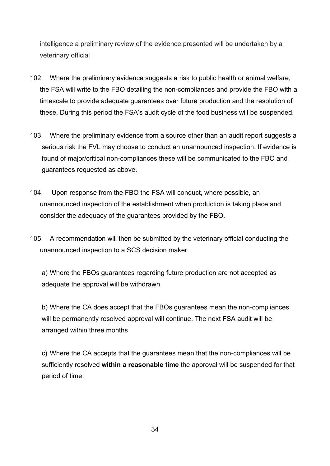intelligence a preliminary review of the evidence presented will be undertaken by a veterinary official

- 102. Where the preliminary evidence suggests a risk to public health or animal welfare, the FSA will write to the FBO detailing the non-compliances and provide the FBO with a timescale to provide adequate guarantees over future production and the resolution of these. During this period the FSA's audit cycle of the food business will be suspended.
- 103. Where the preliminary evidence from a source other than an audit report suggests a serious risk the FVL may choose to conduct an unannounced inspection. If evidence is found of major/critical non-compliances these will be communicated to the FBO and guarantees requested as above.
- 104. Upon response from the FBO the FSA will conduct, where possible, an unannounced inspection of the establishment when production is taking place and consider the adequacy of the guarantees provided by the FBO.
- 105. A recommendation will then be submitted by the veterinary official conducting the unannounced inspection to a SCS decision maker.

a) Where the FBOs guarantees regarding future production are not accepted as adequate the approval will be withdrawn

b) Where the CA does accept that the FBOs guarantees mean the non-compliances will be permanently resolved approval will continue. The next FSA audit will be arranged within three months

c) Where the CA accepts that the guarantees mean that the non-compliances will be sufficiently resolved **within a reasonable time** the approval will be suspended for that period of time.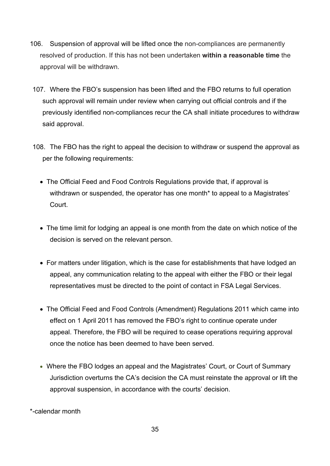- 106. Suspension of approval will be lifted once the non-compliances are permanently resolved of production. If this has not been undertaken **within a reasonable time** the approval will be withdrawn.
- 107. Where the FBO's suspension has been lifted and the FBO returns to full operation such approval will remain under review when carrying out official controls and if the previously identified non-compliances recur the CA shall initiate procedures to withdraw said approval.
- 108. The FBO has the right to appeal the decision to withdraw or suspend the approval as per the following requirements:
	- The Official Feed and Food Controls Regulations provide that, if approval is withdrawn or suspended, the operator has one month\* to appeal to a Magistrates' **Court.**
	- The time limit for lodging an appeal is one month from the date on which notice of the decision is served on the relevant person.
	- For matters under litigation, which is the case for establishments that have lodged an appeal, any communication relating to the appeal with either the FBO or their legal representatives must be directed to the point of contact in FSA Legal Services.
	- The Official Feed and Food Controls (Amendment) Regulations 2011 which came into effect on 1 April 2011 has removed the FBO's right to continue operate under appeal. Therefore, the FBO will be required to cease operations requiring approval once the notice has been deemed to have been served.
	- Where the FBO lodges an appeal and the Magistrates' Court, or Court of Summary Jurisdiction overturns the CA's decision the CA must reinstate the approval or lift the approval suspension, in accordance with the courts' decision.

\*-calendar month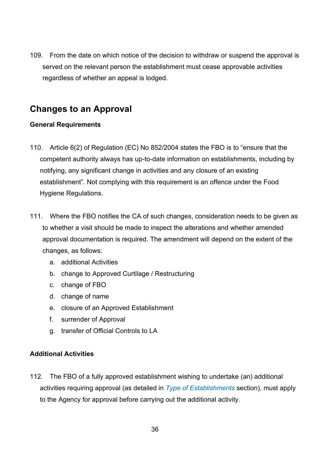109. From the date on which notice of the decision to withdraw or suspend the approval is served on the relevant person the establishment must cease approvable activities regardless of whether an appeal is lodged.

## <span id="page-35-0"></span>**Changes to an Approval**

#### <span id="page-35-1"></span>**General Requirements**

- 110. Article 6(2) of Regulation (EC) No 852/2004 states the FBO is to "ensure that the competent authority always has up-to-date information on establishments, including by notifying, any significant change in activities and any closure of an existing establishment". Not complying with this requirement is an offence under the Food Hygiene Regulations.
- 111. Where the FBO notifies the CA of such changes, consideration needs to be given as to whether a visit should be made to inspect the alterations and whether amended approval documentation is required. The amendment will depend on the extent of the changes, as follows:
	- a. additional Activities
	- b. change to Approved Curtilage / Restructuring
	- c. change of FBO
	- d. change of name
	- e. closure of an Approved Establishment
	- f. surrender of Approval
	- g. transfer of Official Controls to LA

### <span id="page-35-2"></span>**Additional Activities**

112. The FBO of a fully approved establishment wishing to undertake (an) additional activities requiring approval (as detailed in *Type of Establishments* section), must apply to the Agency for approval before carrying out the additional activity.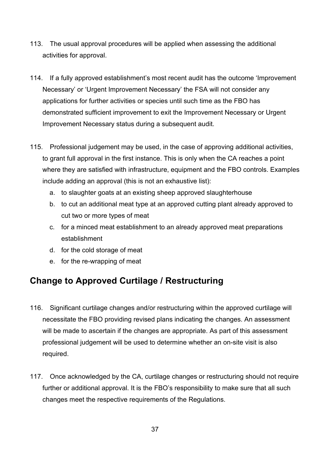- 113. The usual approval procedures will be applied when assessing the additional activities for approval.
- 114. If a fully approved establishment's most recent audit has the outcome 'Improvement Necessary' or 'Urgent Improvement Necessary' the FSA will not consider any applications for further activities or species until such time as the FBO has demonstrated sufficient improvement to exit the Improvement Necessary or Urgent Improvement Necessary status during a subsequent audit.
- 115. Professional judgement may be used, in the case of approving additional activities, to grant full approval in the first instance. This is only when the CA reaches a point where they are satisfied with infrastructure, equipment and the FBO controls. Examples include adding an approval (this is not an exhaustive list):
	- a. to slaughter goats at an existing sheep approved slaughterhouse
	- b. to cut an additional meat type at an approved cutting plant already approved to cut two or more types of meat
	- c. for a minced meat establishment to an already approved meat preparations establishment
	- d. for the cold storage of meat
	- e. for the re-wrapping of meat

## <span id="page-36-0"></span>**Change to Approved Curtilage / Restructuring**

- 116. Significant curtilage changes and/or restructuring within the approved curtilage will necessitate the FBO providing revised plans indicating the changes. An assessment will be made to ascertain if the changes are appropriate. As part of this assessment professional judgement will be used to determine whether an on-site visit is also required.
- 117. Once acknowledged by the CA, curtilage changes or restructuring should not require further or additional approval. It is the FBO's responsibility to make sure that all such changes meet the respective requirements of the Regulations.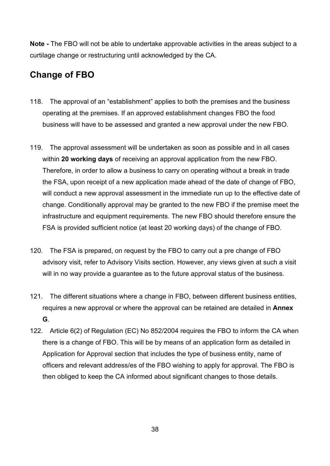**Note -** The FBO will not be able to undertake approvable activities in the areas subject to a curtilage change or restructuring until acknowledged by the CA.

## <span id="page-37-0"></span>**Change of FBO**

- 118. The approval of an "establishment" applies to both the premises and the business operating at the premises. If an approved establishment changes FBO the food business will have to be assessed and granted a new approval under the new FBO.
- 119. The approval assessment will be undertaken as soon as possible and in all cases within **20 working days** of receiving an approval application from the new FBO. Therefore, in order to allow a business to carry on operating without a break in trade the FSA, upon receipt of a new application made ahead of the date of change of FBO, will conduct a new approval assessment in the immediate run up to the effective date of change. Conditionally approval may be granted to the new FBO if the premise meet the infrastructure and equipment requirements. The new FBO should therefore ensure the FSA is provided sufficient notice (at least 20 working days) of the change of FBO.
- 120. The FSA is prepared, on request by the FBO to carry out a pre change of FBO advisory visit, refer to Advisory Visits section. However, any views given at such a visit will in no way provide a guarantee as to the future approval status of the business.
- 121. The different situations where a change in FBO, between different business entities, requires a new approval or where the approval can be retained are detailed in **Annex G**.
- 122. Article 6(2) of Regulation (EC) No 852/2004 requires the FBO to inform the CA when there is a change of FBO. This will be by means of an application form as detailed in Application for Approval section that includes the type of business entity, name of officers and relevant address/es of the FBO wishing to apply for approval. The FBO is then obliged to keep the CA informed about significant changes to those details.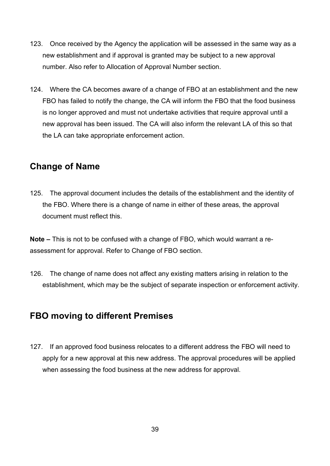- 123. Once received by the Agency the application will be assessed in the same way as a new establishment and if approval is granted may be subject to a new approval number. Also refer to Allocation of Approval Number section.
- 124. Where the CA becomes aware of a change of FBO at an establishment and the new FBO has failed to notify the change, the CA will inform the FBO that the food business is no longer approved and must not undertake activities that require approval until a new approval has been issued. The CA will also inform the relevant LA of this so that the LA can take appropriate enforcement action.

### <span id="page-38-0"></span>**Change of Name**

125. The approval document includes the details of the establishment and the identity of the FBO. Where there is a change of name in either of these areas, the approval document must reflect this.

**Note –** This is not to be confused with a change of FBO, which would warrant a reassessment for approval. Refer to Change of FBO section.

126. The change of name does not affect any existing matters arising in relation to the establishment, which may be the subject of separate inspection or enforcement activity.

## <span id="page-38-1"></span>**FBO moving to different Premises**

127. If an approved food business relocates to a different address the FBO will need to apply for a new approval at this new address. The approval procedures will be applied when assessing the food business at the new address for approval.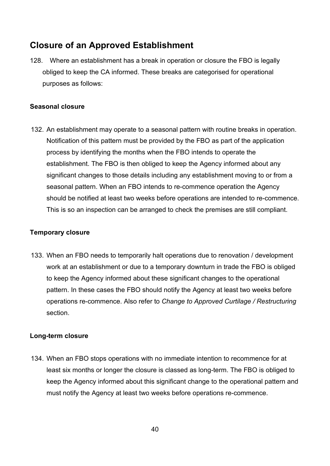## <span id="page-39-0"></span>**Closure of an Approved Establishment**

128. Where an establishment has a break in operation or closure the FBO is legally obliged to keep the CA informed. These breaks are categorised for operational purposes as follows:

#### <span id="page-39-1"></span>**Seasonal closure**

132. An establishment may operate to a seasonal pattern with routine breaks in operation. Notification of this pattern must be provided by the FBO as part of the application process by identifying the months when the FBO intends to operate the establishment. The FBO is then obliged to keep the Agency informed about any significant changes to those details including any establishment moving to or from a seasonal pattern. When an FBO intends to re-commence operation the Agency should be notified at least two weeks before operations are intended to re-commence. This is so an inspection can be arranged to check the premises are still compliant.

#### <span id="page-39-2"></span>**Temporary closure**

133. When an FBO needs to temporarily halt operations due to renovation / development work at an establishment or due to a temporary downturn in trade the FBO is obliged to keep the Agency informed about these significant changes to the operational pattern. In these cases the FBO should notify the Agency at least two weeks before operations re-commence. Also refer to *Change to Approved Curtilage / Restructuring* section.

#### <span id="page-39-3"></span>**Long-term closure**

134. When an FBO stops operations with no immediate intention to recommence for at least six months or longer the closure is classed as long-term. The FBO is obliged to keep the Agency informed about this significant change to the operational pattern and must notify the Agency at least two weeks before operations re-commence.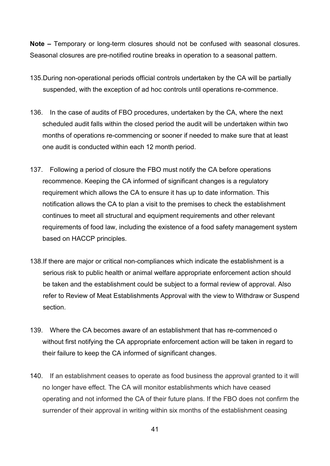**Note –** Temporary or long-term closures should not be confused with seasonal closures. Seasonal closures are pre-notified routine breaks in operation to a seasonal pattern.

- 135.During non-operational periods official controls undertaken by the CA will be partially suspended, with the exception of ad hoc controls until operations re-commence.
- 136. In the case of audits of FBO procedures, undertaken by the CA, where the next scheduled audit falls within the closed period the audit will be undertaken within two months of operations re-commencing or sooner if needed to make sure that at least one audit is conducted within each 12 month period.
- 137. Following a period of closure the FBO must notify the CA before operations recommence. Keeping the CA informed of significant changes is a regulatory requirement which allows the CA to ensure it has up to date information. This notification allows the CA to plan a visit to the premises to check the establishment continues to meet all structural and equipment requirements and other relevant requirements of food law, including the existence of a food safety management system based on HACCP principles.
- 138.If there are major or critical non-compliances which indicate the establishment is a serious risk to public health or animal welfare appropriate enforcement action should be taken and the establishment could be subject to a formal review of approval. Also refer to Review of Meat Establishments Approval with the view to Withdraw or Suspend section.
- 139. Where the CA becomes aware of an establishment that has re-commenced o without first notifying the CA appropriate enforcement action will be taken in regard to their failure to keep the CA informed of significant changes.
- 140. If an establishment ceases to operate as food business the approval granted to it will no longer have effect. The CA will monitor establishments which have ceased operating and not informed the CA of their future plans. If the FBO does not confirm the surrender of their approval in writing within six months of the establishment ceasing

41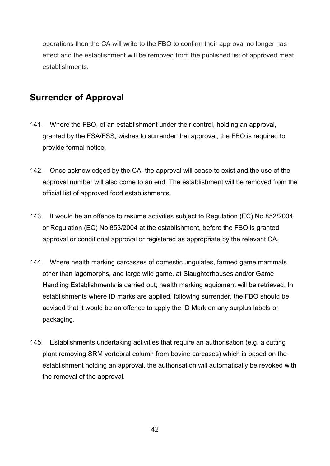operations then the CA will write to the FBO to confirm their approval no longer has effect and the establishment will be removed from the published list of approved meat establishments.

## <span id="page-41-0"></span>**Surrender of Approval**

- 141. Where the FBO, of an establishment under their control, holding an approval, granted by the FSA/FSS, wishes to surrender that approval, the FBO is required to provide formal notice.
- 142. Once acknowledged by the CA, the approval will cease to exist and the use of the approval number will also come to an end. The establishment will be removed from the official list of approved food establishments.
- 143. It would be an offence to resume activities subject to Regulation (EC) No 852/2004 or Regulation (EC) No 853/2004 at the establishment, before the FBO is granted approval or conditional approval or registered as appropriate by the relevant CA.
- 144. Where health marking carcasses of domestic ungulates, farmed game mammals other than lagomorphs, and large wild game, at Slaughterhouses and/or Game Handling Establishments is carried out, health marking equipment will be retrieved. In establishments where ID marks are applied, following surrender, the FBO should be advised that it would be an offence to apply the ID Mark on any surplus labels or packaging.
- 145. Establishments undertaking activities that require an authorisation (e.g. a cutting plant removing SRM vertebral column from bovine carcases) which is based on the establishment holding an approval, the authorisation will automatically be revoked with the removal of the approval.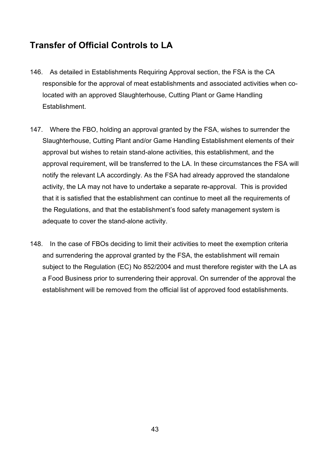## <span id="page-42-0"></span>**Transfer of Official Controls to LA**

- 146. As detailed in Establishments Requiring Approval section, the FSA is the CA responsible for the approval of meat establishments and associated activities when colocated with an approved Slaughterhouse, Cutting Plant or Game Handling Establishment.
- 147. Where the FBO, holding an approval granted by the FSA, wishes to surrender the Slaughterhouse, Cutting Plant and/or Game Handling Establishment elements of their approval but wishes to retain stand-alone activities, this establishment, and the approval requirement, will be transferred to the LA. In these circumstances the FSA will notify the relevant LA accordingly. As the FSA had already approved the standalone activity, the LA may not have to undertake a separate re-approval. This is provided that it is satisfied that the establishment can continue to meet all the requirements of the Regulations, and that the establishment's food safety management system is adequate to cover the stand-alone activity.
- 148. In the case of FBOs deciding to limit their activities to meet the exemption criteria and surrendering the approval granted by the FSA, the establishment will remain subject to the Regulation (EC) No 852/2004 and must therefore register with the LA as a Food Business prior to surrendering their approval. On surrender of the approval the establishment will be removed from the official list of approved food establishments.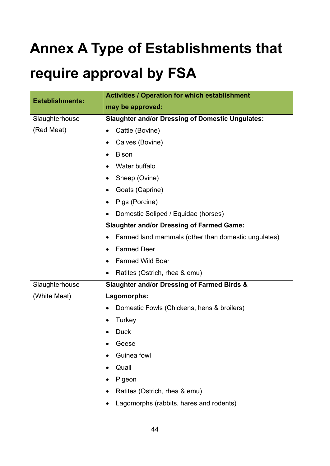# <span id="page-43-0"></span>**Annex A Type of Establishments that**

## **require approval by FSA**

| <b>Establishments:</b> | <b>Activities / Operation for which establishment</b>            |  |  |
|------------------------|------------------------------------------------------------------|--|--|
|                        | may be approved:                                                 |  |  |
| Slaughterhouse         | <b>Slaughter and/or Dressing of Domestic Ungulates:</b>          |  |  |
| (Red Meat)             | Cattle (Bovine)<br>٠                                             |  |  |
|                        | Calves (Bovine)<br>٠                                             |  |  |
|                        | <b>Bison</b><br>$\bullet$                                        |  |  |
|                        | Water buffalo                                                    |  |  |
|                        | Sheep (Ovine)<br>$\bullet$                                       |  |  |
|                        | Goats (Caprine)<br>٠                                             |  |  |
|                        | Pigs (Porcine)<br>$\bullet$                                      |  |  |
|                        | Domestic Soliped / Equidae (horses)                              |  |  |
|                        | <b>Slaughter and/or Dressing of Farmed Game:</b>                 |  |  |
|                        | Farmed land mammals (other than domestic ungulates)<br>$\bullet$ |  |  |
|                        | <b>Farmed Deer</b><br>٠                                          |  |  |
|                        | <b>Farmed Wild Boar</b><br>$\bullet$                             |  |  |
|                        | Ratites (Ostrich, rhea & emu)<br>٠                               |  |  |
| Slaughterhouse         | <b>Slaughter and/or Dressing of Farmed Birds &amp;</b>           |  |  |
| (White Meat)           | Lagomorphs:                                                      |  |  |
|                        | Domestic Fowls (Chickens, hens & broilers)<br>$\bullet$          |  |  |
|                        | Turkey<br>$\bullet$                                              |  |  |
|                        | <b>Duck</b>                                                      |  |  |
|                        | Geese                                                            |  |  |
|                        | Guinea fowl                                                      |  |  |
|                        | Quail                                                            |  |  |
|                        | Pigeon                                                           |  |  |
|                        | Ratites (Ostrich, rhea & emu)                                    |  |  |
|                        | Lagomorphs (rabbits, hares and rodents)                          |  |  |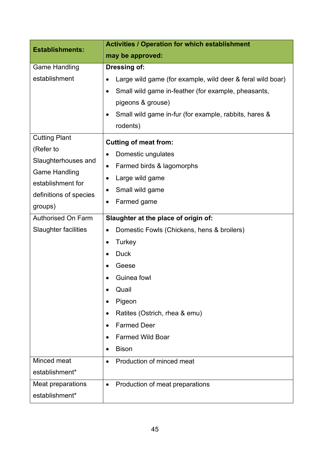| <b>Establishments:</b>                                                                                                    | <b>Activities / Operation for which establishment</b>                                                                                                                                                                                                                                                                                              |  |  |
|---------------------------------------------------------------------------------------------------------------------------|----------------------------------------------------------------------------------------------------------------------------------------------------------------------------------------------------------------------------------------------------------------------------------------------------------------------------------------------------|--|--|
|                                                                                                                           | may be approved:                                                                                                                                                                                                                                                                                                                                   |  |  |
| <b>Game Handling</b><br>establishment<br><b>Cutting Plant</b><br>(Refer to<br>Slaughterhouses and<br><b>Game Handling</b> | Dressing of:<br>Large wild game (for example, wild deer & feral wild boar)<br>Small wild game in-feather (for example, pheasants,<br>$\bullet$<br>pigeons & grouse)<br>Small wild game in-fur (for example, rabbits, hares &<br>٠<br>rodents)<br><b>Cutting of meat from:</b><br>Domestic ungulates<br>$\bullet$<br>Farmed birds & lagomorphs<br>٠ |  |  |
| establishment for<br>definitions of species<br>groups)                                                                    | Large wild game<br>$\bullet$<br>Small wild game<br>Farmed game<br>$\bullet$<br>Slaughter at the place of origin of:                                                                                                                                                                                                                                |  |  |
| <b>Authorised On Farm</b><br><b>Slaughter facilities</b>                                                                  | Domestic Fowls (Chickens, hens & broilers)<br>$\bullet$<br>Turkey<br><b>Duck</b><br>$\bullet$<br>Geese<br>Guinea fowl<br>Quail<br>Pigeon<br>Ratites (Ostrich, rhea & emu)<br><b>Farmed Deer</b><br><b>Farmed Wild Boar</b><br><b>Bison</b>                                                                                                         |  |  |
| Minced meat<br>establishment*<br>Meat preparations<br>establishment*                                                      | Production of minced meat<br>$\bullet$<br>Production of meat preparations<br>$\bullet$                                                                                                                                                                                                                                                             |  |  |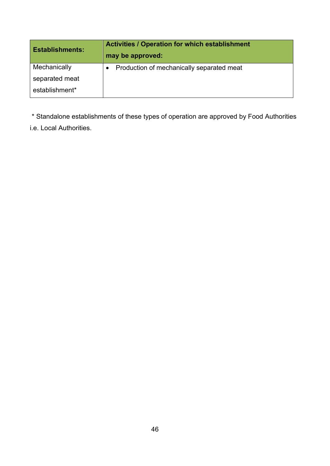| <b>Establishments:</b> | <b>Activities / Operation for which establishment</b><br>may be approved: |
|------------------------|---------------------------------------------------------------------------|
| Mechanically           | Production of mechanically separated meat                                 |
| separated meat         |                                                                           |
| establishment*         |                                                                           |

\* Standalone establishments of these types of operation are approved by Food Authorities

i.e. Local Authorities.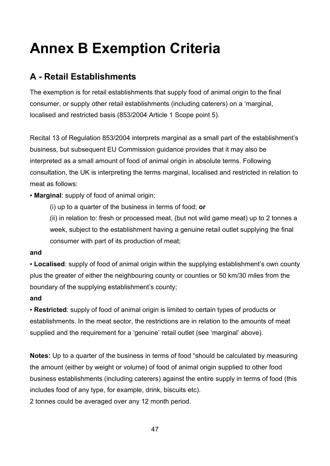## <span id="page-46-0"></span>**Annex B Exemption Criteria**

## **A - Retail Establishments**

The exemption is for retail establishments that supply food of animal origin to the final consumer, or supply other retail establishments (including caterers) on a 'marginal, localised and restricted basis (853/2004 Article 1 Scope point 5).

Recital 13 of Regulation 853/2004 interprets marginal as a small part of the establishment's business, but subsequent EU Commission guidance provides that it may also be interpreted as a small amount of food of animal origin in absolute terms. Following consultation, the UK is interpreting the terms marginal, localised and restricted in relation to meat as follows:

▪ **Marginal**: supply of food of animal origin:

(i) up to a quarter of the business in terms of food; **or**

(ii) in relation to: fresh or processed meat, (but not wild game meat) up to 2 tonnes a week, subject to the establishment having a genuine retail outlet supplying the final consumer with part of its production of meat;

### **and**

▪ **Localised**: supply of food of animal origin within the supplying establishment's own county plus the greater of either the neighbouring county or counties or 50 km/30 miles from the boundary of the supplying establishment's county;

### **and**

▪ **Restricted**: supply of food of animal origin is limited to certain types of products or establishments. In the meat sector, the restrictions are in relation to the amounts of meat supplied and the requirement for a 'genuine' retail outlet (see 'marginal' above).

**Notes:** Up to a quarter of the business in terms of food "should be calculated by measuring the amount (either by weight or volume) of food of animal origin supplied to other food business establishments (including caterers) against the entire supply in terms of food (this includes food of any type, for example, drink, biscuits etc).

2 tonnes could be averaged over any 12 month period.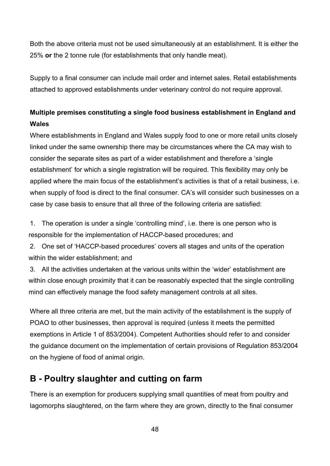Both the above criteria must not be used simultaneously at an establishment. It is either the 25% **or** the 2 tonne rule (for establishments that only handle meat).

Supply to a final consumer can include mail order and internet sales. Retail establishments attached to approved establishments under veterinary control do not require approval.

## <span id="page-47-0"></span>**Multiple premises constituting a single food business establishment in England and Wales**

Where establishments in England and Wales supply food to one or more retail units closely linked under the same ownership there may be circumstances where the CA may wish to consider the separate sites as part of a wider establishment and therefore a 'single establishment' for which a single registration will be required. This flexibility may only be applied where the main focus of the establishment's activities is that of a retail business, i.e. when supply of food is direct to the final consumer. CA's will consider such businesses on a case by case basis to ensure that all three of the following criteria are satisfied:

1. The operation is under a single 'controlling mind', i.e. there is one person who is responsible for the implementation of HACCP-based procedures; and

2. One set of 'HACCP-based procedures' covers all stages and units of the operation within the wider establishment; and

3. All the activities undertaken at the various units within the 'wider' establishment are within close enough proximity that it can be reasonably expected that the single controlling mind can effectively manage the food safety management controls at all sites.

Where all three criteria are met, but the main activity of the establishment is the supply of POAO to other businesses, then approval is required (unless it meets the permitted exemptions in Article 1 of 853/2004). Competent Authorities should refer to and consider the guidance document on the implementation of certain provisions of Regulation 853/2004 on the hygiene of food of animal origin.

## **B - Poultry slaughter and cutting on farm**

There is an exemption for producers supplying small quantities of meat from poultry and lagomorphs slaughtered, on the farm where they are grown, directly to the final consumer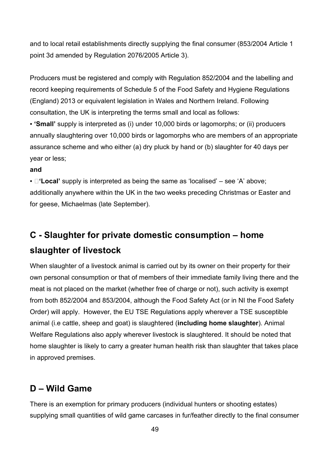and to local retail establishments directly supplying the final consumer (853/2004 Article 1 point 3d amended by Regulation 2076/2005 Article 3).

Producers must be registered and comply with Regulation 852/2004 and the labelling and record keeping requirements of Schedule 5 of the Food Safety and Hygiene Regulations (England) 2013 or equivalent legislation in Wales and Northern Ireland. Following consultation, the UK is interpreting the terms small and local as follows:

▪ **'Small'** supply is interpreted as (i) under 10,000 birds or lagomorphs; or (ii) producers annually slaughtering over 10,000 birds or lagomorphs who are members of an appropriate assurance scheme and who either (a) dry pluck by hand or (b) slaughter for 40 days per year or less;

#### **and**

■ **Local'** supply is interpreted as being the same as 'localised' – see 'A' above; additionally anywhere within the UK in the two weeks preceding Christmas or Easter and for geese, Michaelmas (late September).

## **C - Slaughter for private domestic consumption – home slaughter of livestock**

When slaughter of a livestock animal is carried out by its owner on their property for their own personal consumption or that of members of their immediate family living there and the meat is not placed on the market (whether free of charge or not), such activity is exempt from both 852/2004 and 853/2004, although the Food Safety Act (or in NI the Food Safety Order) will apply. However, the EU TSE Regulations apply wherever a TSE susceptible animal (i.e cattle, sheep and goat) is slaughtered (**including home slaughter**). Animal Welfare Regulations also apply wherever livestock is slaughtered. It should be noted that home slaughter is likely to carry a greater human health risk than slaughter that takes place in approved premises.

## **D – Wild Game**

There is an exemption for primary producers (individual hunters or shooting estates) supplying small quantities of wild game carcases in fur/feather directly to the final consumer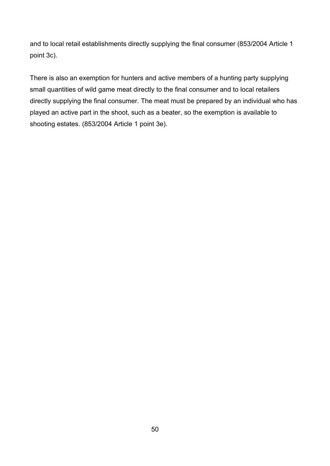and to local retail establishments directly supplying the final consumer (853/2004 Article 1 point 3c).

There is also an exemption for hunters and active members of a hunting party supplying small quantities of wild game meat directly to the final consumer and to local retailers directly supplying the final consumer. The meat must be prepared by an individual who has played an active part in the shoot, such as a beater, so the exemption is available to shooting estates. (853/2004 Article 1 point 3e).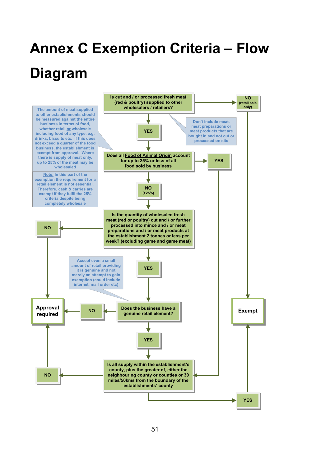# <span id="page-50-0"></span>**Annex C Exemption Criteria – Flow Diagram**

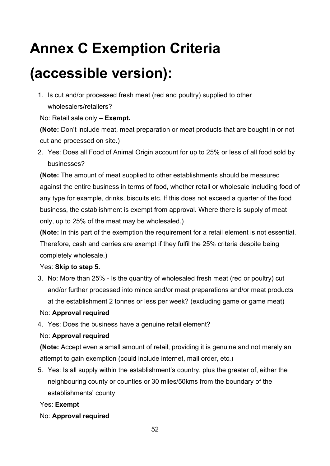## **Annex C Exemption Criteria**

## **(accessible version):**

1. Is cut and/or processed fresh meat (red and poultry) supplied to other wholesalers/retailers?

No: Retail sale only – **Exempt.**

**(Note:** Don't include meat, meat preparation or meat products that are bought in or not cut and processed on site.)

2. Yes: Does all Food of Animal Origin account for up to 25% or less of all food sold by businesses?

**(Note:** The amount of meat supplied to other establishments should be measured against the entire business in terms of food, whether retail or wholesale including food of any type for example, drinks, biscuits etc. If this does not exceed a quarter of the food business, the establishment is exempt from approval. Where there is supply of meat only, up to 25% of the meat may be wholesaled.)

**(Note:** In this part of the exemption the requirement for a retail element is not essential. Therefore, cash and carries are exempt if they fulfil the 25% criteria despite being completely wholesale.)

#### Yes: **Skip to step 5.**

3. No: More than 25% - Is the quantity of wholesaled fresh meat (red or poultry) cut and/or further processed into mince and/or meat preparations and/or meat products at the establishment 2 tonnes or less per week? (excluding game or game meat)

### No: **Approval required**

4. Yes: Does the business have a genuine retail element?

### No: **Approval required**

**(Note:** Accept even a small amount of retail, providing it is genuine and not merely an attempt to gain exemption (could include internet, mail order, etc.)

5. Yes: Is all supply within the establishment's country, plus the greater of, either the neighbouring county or counties or 30 miles/50kms from the boundary of the establishments' county

#### Yes: **Exempt**

No: **Approval required**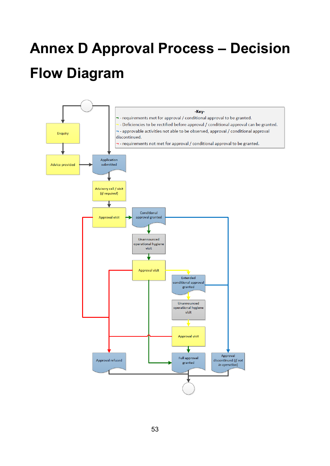# <span id="page-52-0"></span>**Annex D Approval Process – Decision Flow Diagram**

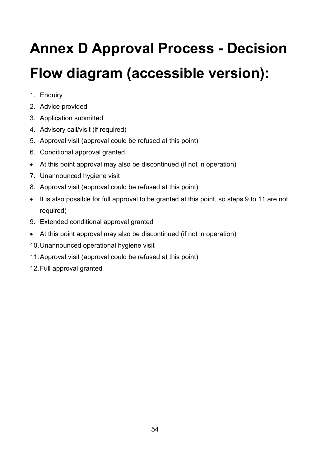# **Annex D Approval Process - Decision Flow diagram (accessible version):**

- 1. Enquiry
- 2. Advice provided
- 3. Application submitted
- 4. Advisory call/visit (if required)
- 5. Approval visit (approval could be refused at this point)
- 6. Conditional approval granted.
- At this point approval may also be discontinued (if not in operation)
- 7. Unannounced hygiene visit
- 8. Approval visit (approval could be refused at this point)
- It is also possible for full approval to be granted at this point, so steps 9 to 11 are not required)
- 9. Extended conditional approval granted
- At this point approval may also be discontinued (if not in operation)
- 10.Unannounced operational hygiene visit
- 11.Approval visit (approval could be refused at this point)
- 12.Full approval granted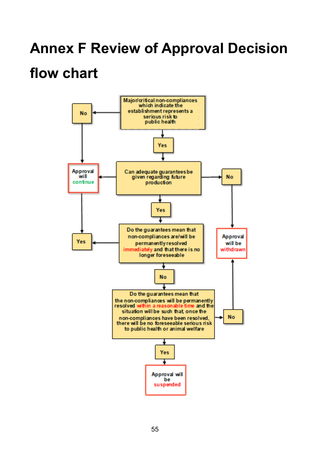## <span id="page-54-0"></span>**Annex F Review of Approval Decision**

## **flow chart**

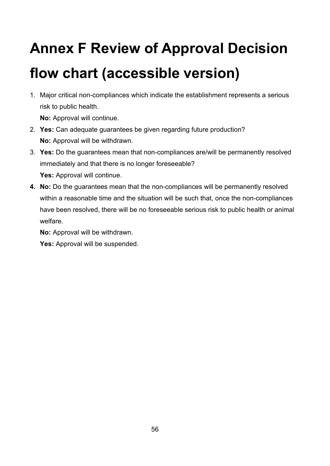# **Annex F Review of Approval Decision flow chart (accessible version)**

1. Major critical non-compliances which indicate the establishment represents a serious risk to public health.

**No:** Approval will continue.

- 2. **Yes:** Can adequate guarantees be given regarding future production? **No:** Approval will be withdrawn.
- 3. **Yes:** Do the guarantees mean that non-compliances are/will be permanently resolved immediately and that there is no longer foreseeable? Yes: Approval will continue.
- **4. No:** Do the guarantees mean that the non-compliances will be permanently resolved within a reasonable time and the situation will be such that, once the non-compliances have been resolved, there will be no foreseeable serious risk to public health or animal welfare.

**No:** Approval will be withdrawn.

**Yes:** Approval will be suspended.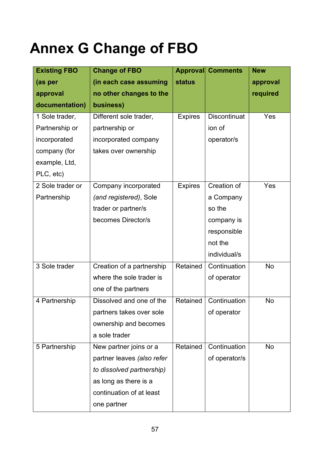# <span id="page-56-0"></span>**Annex G Change of FBO**

| <b>Existing FBO</b> | <b>Change of FBO</b>       |                | <b>Approval Comments</b> | <b>New</b> |
|---------------------|----------------------------|----------------|--------------------------|------------|
| (as per             | (in each case assuming     | <b>status</b>  |                          | approval   |
| approval            | no other changes to the    |                |                          | required   |
| documentation)      | business)                  |                |                          |            |
| 1 Sole trader,      | Different sole trader,     | <b>Expires</b> | <b>Discontinuat</b>      | Yes        |
| Partnership or      | partnership or             |                | ion of                   |            |
| incorporated        | incorporated company       |                | operator/s               |            |
| company (for        | takes over ownership       |                |                          |            |
| example, Ltd,       |                            |                |                          |            |
| PLC, etc)           |                            |                |                          |            |
| 2 Sole trader or    | Company incorporated       | <b>Expires</b> | Creation of              | Yes        |
| Partnership         | (and registered), Sole     |                | a Company                |            |
|                     | trader or partner/s        |                | so the                   |            |
|                     | becomes Director/s         |                | company is               |            |
|                     |                            |                | responsible              |            |
|                     |                            |                | not the                  |            |
|                     |                            |                | individual/s             |            |
| 3 Sole trader       | Creation of a partnership  | Retained       | Continuation             | No         |
|                     | where the sole trader is   |                | of operator              |            |
|                     | one of the partners        |                |                          |            |
| 4 Partnership       | Dissolved and one of the   | Retained       | Continuation             | <b>No</b>  |
|                     | partners takes over sole   |                | of operator              |            |
|                     | ownership and becomes      |                |                          |            |
|                     | a sole trader              |                |                          |            |
| 5 Partnership       | New partner joins or a     | Retained       | Continuation             | No         |
|                     | partner leaves (also refer |                | of operator/s            |            |
|                     | to dissolved partnership)  |                |                          |            |
|                     | as long as there is a      |                |                          |            |
|                     | continuation of at least   |                |                          |            |
|                     | one partner                |                |                          |            |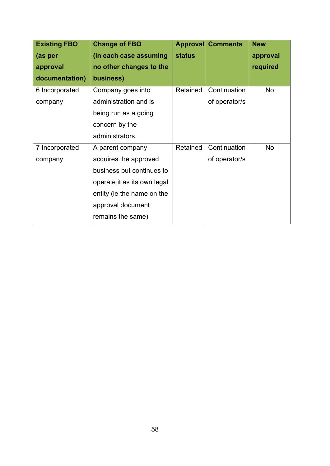| <b>Existing FBO</b> | <b>Change of FBO</b>        |               | <b>Approval Comments</b> | <b>New</b> |
|---------------------|-----------------------------|---------------|--------------------------|------------|
| (as per             | (in each case assuming      | <b>status</b> |                          | approval   |
| approval            | no other changes to the     |               |                          | required   |
| documentation)      | business)                   |               |                          |            |
| 6 Incorporated      | Company goes into           | Retained      | Continuation             | No         |
| company             | administration and is       |               | of operator/s            |            |
|                     | being run as a going        |               |                          |            |
|                     | concern by the              |               |                          |            |
|                     | administrators.             |               |                          |            |
| 7 Incorporated      | A parent company            | Retained      | Continuation             | <b>No</b>  |
| company             | acquires the approved       |               | of operator/s            |            |
|                     | business but continues to   |               |                          |            |
|                     | operate it as its own legal |               |                          |            |
|                     | entity (ie the name on the  |               |                          |            |
|                     | approval document           |               |                          |            |
|                     | remains the same)           |               |                          |            |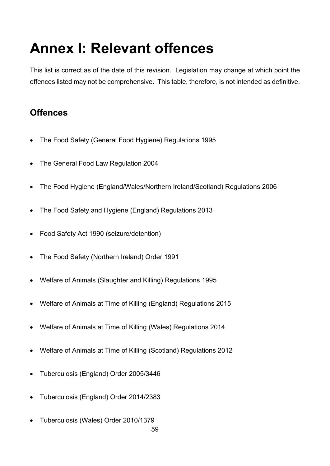# <span id="page-58-0"></span>**Annex I: Relevant offences**

This list is correct as of the date of this revision. Legislation may change at which point the offences listed may not be comprehensive. This table, therefore, is not intended as definitive.

## **Offences**

- The Food Safety (General Food Hygiene) Regulations 1995
- The General Food Law Regulation 2004
- The Food Hygiene (England/Wales/Northern Ireland/Scotland) Regulations 2006
- The Food Safety and Hygiene (England) Regulations 2013
- Food Safety Act 1990 (seizure/detention)
- The Food Safety (Northern Ireland) Order 1991
- Welfare of Animals (Slaughter and Killing) Regulations 1995
- Welfare of Animals at Time of Killing (England) Regulations 2015
- Welfare of Animals at Time of Killing (Wales) Regulations 2014
- Welfare of Animals at Time of Killing (Scotland) Regulations 2012
- Tuberculosis (England) Order 2005/3446
- Tuberculosis (England) Order 2014/2383
- Tuberculosis (Wales) Order 2010/1379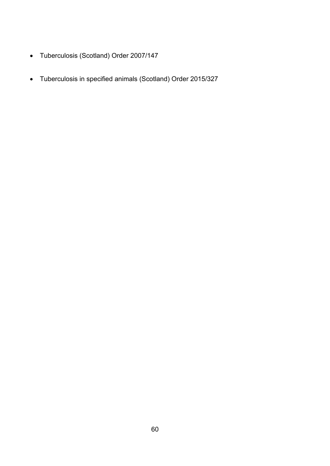- Tuberculosis (Scotland) Order 2007/147
- Tuberculosis in specified animals (Scotland) Order 2015/327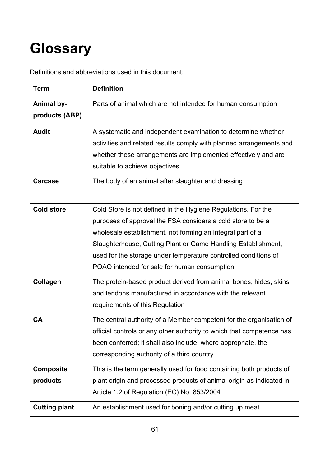# <span id="page-60-0"></span>**Glossary**

Definitions and abbreviations used in this document:

| <b>Term</b>                                          | <b>Definition</b>                                                                                                                                                                                                                                                                                                              |
|------------------------------------------------------|--------------------------------------------------------------------------------------------------------------------------------------------------------------------------------------------------------------------------------------------------------------------------------------------------------------------------------|
| <b>Animal by-</b><br>products (ABP)                  | Parts of animal which are not intended for human consumption                                                                                                                                                                                                                                                                   |
| <b>Audit</b><br><b>Carcase</b>                       | A systematic and independent examination to determine whether<br>activities and related results comply with planned arrangements and<br>whether these arrangements are implemented effectively and are<br>suitable to achieve objectives<br>The body of an animal after slaughter and dressing                                 |
| <b>Cold store</b>                                    | Cold Store is not defined in the Hygiene Regulations. For the<br>purposes of approval the FSA considers a cold store to be a<br>wholesale establishment, not forming an integral part of a<br>Slaughterhouse, Cutting Plant or Game Handling Establishment,<br>used for the storage under temperature controlled conditions of |
| Collagen                                             | POAO intended for sale for human consumption<br>The protein-based product derived from animal bones, hides, skins<br>and tendons manufactured in accordance with the relevant                                                                                                                                                  |
| <b>CA</b>                                            | requirements of this Regulation<br>The central authority of a Member competent for the organisation of<br>official controls or any other authority to which that competence has<br>been conferred; it shall also include, where appropriate, the<br>corresponding authority of a third country                                 |
| <b>Composite</b><br>products<br><b>Cutting plant</b> | This is the term generally used for food containing both products of<br>plant origin and processed products of animal origin as indicated in<br>Article 1.2 of Regulation (EC) No. 853/2004<br>An establishment used for boning and/or cutting up meat.                                                                        |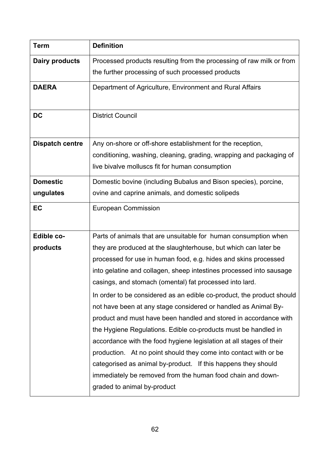| <b>Term</b>            | <b>Definition</b>                                                     |
|------------------------|-----------------------------------------------------------------------|
| Dairy products         | Processed products resulting from the processing of raw milk or from  |
|                        | the further processing of such processed products                     |
| <b>DAERA</b>           | Department of Agriculture, Environment and Rural Affairs              |
|                        |                                                                       |
| <b>DC</b>              | <b>District Council</b>                                               |
|                        |                                                                       |
| <b>Dispatch centre</b> | Any on-shore or off-shore establishment for the reception,            |
|                        | conditioning, washing, cleaning, grading, wrapping and packaging of   |
|                        | live bivalve molluscs fit for human consumption                       |
| <b>Domestic</b>        | Domestic bovine (including Bubalus and Bison species), porcine,       |
| ungulates              | ovine and caprine animals, and domestic solipeds                      |
| EC                     | <b>European Commission</b>                                            |
|                        |                                                                       |
| Edible co-             | Parts of animals that are unsuitable for human consumption when       |
| products               | they are produced at the slaughterhouse, but which can later be       |
|                        | processed for use in human food, e.g. hides and skins processed       |
|                        | into gelatine and collagen, sheep intestines processed into sausage   |
|                        | casings, and stomach (omental) fat processed into lard.               |
|                        | In order to be considered as an edible co-product, the product should |
|                        | not have been at any stage considered or handled as Animal By-        |
|                        | product and must have been handled and stored in accordance with      |
|                        | the Hygiene Regulations. Edible co-products must be handled in        |
|                        | accordance with the food hygiene legislation at all stages of their   |
|                        | production. At no point should they come into contact with or be      |
|                        | categorised as animal by-product. If this happens they should         |
|                        | immediately be removed from the human food chain and down-            |
|                        | graded to animal by-product                                           |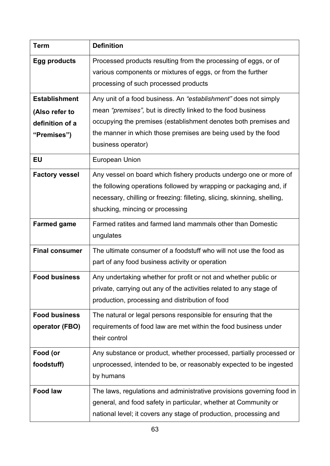| <b>Term</b>                            | <b>Definition</b>                                                                                                                                                                                                                                      |
|----------------------------------------|--------------------------------------------------------------------------------------------------------------------------------------------------------------------------------------------------------------------------------------------------------|
| <b>Egg products</b>                    | Processed products resulting from the processing of eggs, or of<br>various components or mixtures of eggs, or from the further<br>processing of such processed products                                                                                |
| <b>Establishment</b>                   | Any unit of a food business. An "establishment" does not simply                                                                                                                                                                                        |
| (Also refer to                         | mean "premises", but is directly linked to the food business                                                                                                                                                                                           |
| definition of a                        | occupying the premises (establishment denotes both premises and                                                                                                                                                                                        |
| "Premises")                            | the manner in which those premises are being used by the food<br>business operator)                                                                                                                                                                    |
| <b>EU</b>                              | <b>European Union</b>                                                                                                                                                                                                                                  |
| <b>Factory vessel</b>                  | Any vessel on board which fishery products undergo one or more of<br>the following operations followed by wrapping or packaging and, if<br>necessary, chilling or freezing: filleting, slicing, skinning, shelling,<br>shucking, mincing or processing |
| <b>Farmed game</b>                     | Farmed ratites and farmed land mammals other than Domestic<br>ungulates                                                                                                                                                                                |
| <b>Final consumer</b>                  | The ultimate consumer of a foodstuff who will not use the food as<br>part of any food business activity or operation                                                                                                                                   |
| <b>Food business</b>                   | Any undertaking whether for profit or not and whether public or<br>private, carrying out any of the activities related to any stage of<br>production, processing and distribution of food                                                              |
| <b>Food business</b><br>operator (FBO) | The natural or legal persons responsible for ensuring that the<br>requirements of food law are met within the food business under<br>their control                                                                                                     |
| Food (or<br>foodstuff)                 | Any substance or product, whether processed, partially processed or<br>unprocessed, intended to be, or reasonably expected to be ingested<br>by humans                                                                                                 |
| <b>Food law</b>                        | The laws, regulations and administrative provisions governing food in<br>general, and food safety in particular, whether at Community or<br>national level; it covers any stage of production, processing and                                          |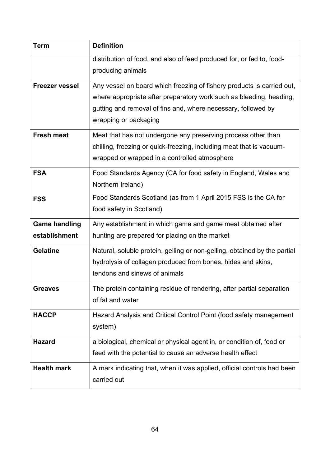| <b>Term</b>                           | <b>Definition</b>                                                                                                                                                                                                                       |
|---------------------------------------|-----------------------------------------------------------------------------------------------------------------------------------------------------------------------------------------------------------------------------------------|
|                                       | distribution of food, and also of feed produced for, or fed to, food-<br>producing animals                                                                                                                                              |
| <b>Freezer vessel</b>                 | Any vessel on board which freezing of fishery products is carried out,<br>where appropriate after preparatory work such as bleeding, heading,<br>gutting and removal of fins and, where necessary, followed by<br>wrapping or packaging |
| <b>Fresh meat</b>                     | Meat that has not undergone any preserving process other than<br>chilling, freezing or quick-freezing, including meat that is vacuum-<br>wrapped or wrapped in a controlled atmosphere                                                  |
| <b>FSA</b>                            | Food Standards Agency (CA for food safety in England, Wales and<br>Northern Ireland)                                                                                                                                                    |
| <b>FSS</b>                            | Food Standards Scotland (as from 1 April 2015 FSS is the CA for<br>food safety in Scotland)                                                                                                                                             |
| <b>Game handling</b><br>establishment | Any establishment in which game and game meat obtained after<br>hunting are prepared for placing on the market                                                                                                                          |
| <b>Gelatine</b>                       | Natural, soluble protein, gelling or non-gelling, obtained by the partial<br>hydrolysis of collagen produced from bones, hides and skins,<br>tendons and sinews of animals                                                              |
| Greaves                               | The protein containing residue of rendering, after partial separation<br>of fat and water                                                                                                                                               |
| <b>HACCP</b>                          | Hazard Analysis and Critical Control Point (food safety management<br>system)                                                                                                                                                           |
| <b>Hazard</b>                         | a biological, chemical or physical agent in, or condition of, food or<br>feed with the potential to cause an adverse health effect                                                                                                      |
| <b>Health mark</b>                    | A mark indicating that, when it was applied, official controls had been<br>carried out                                                                                                                                                  |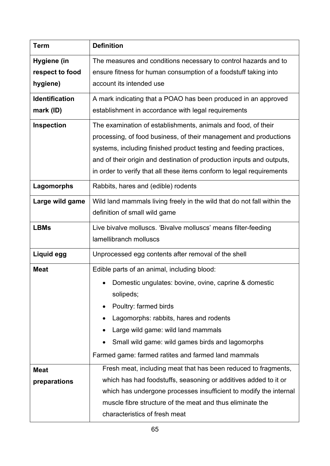| <b>Term</b>           | <b>Definition</b>                                                       |  |  |
|-----------------------|-------------------------------------------------------------------------|--|--|
| Hygiene (in           | The measures and conditions necessary to control hazards and to         |  |  |
| respect to food       | ensure fitness for human consumption of a foodstuff taking into         |  |  |
| hygiene)              | account its intended use                                                |  |  |
| <b>Identification</b> | A mark indicating that a POAO has been produced in an approved          |  |  |
| mark (ID)             | establishment in accordance with legal requirements                     |  |  |
| Inspection            | The examination of establishments, animals and food, of their           |  |  |
|                       | processing, of food business, of their management and productions       |  |  |
|                       | systems, including finished product testing and feeding practices,      |  |  |
|                       | and of their origin and destination of production inputs and outputs,   |  |  |
|                       | in order to verify that all these items conform to legal requirements   |  |  |
| Lagomorphs            | Rabbits, hares and (edible) rodents                                     |  |  |
| Large wild game       | Wild land mammals living freely in the wild that do not fall within the |  |  |
|                       | definition of small wild game                                           |  |  |
| <b>LBMs</b>           | Live bivalve molluscs. 'Bivalve molluscs' means filter-feeding          |  |  |
|                       | lamellibranch molluscs                                                  |  |  |
| Liquid egg            | Unprocessed egg contents after removal of the shell                     |  |  |
| <b>Meat</b>           | Edible parts of an animal, including blood:                             |  |  |
|                       | Domestic ungulates: bovine, ovine, caprine & domestic                   |  |  |
|                       | solipeds;                                                               |  |  |
|                       | Poultry: farmed birds                                                   |  |  |
|                       | Lagomorphs: rabbits, hares and rodents                                  |  |  |
|                       | Large wild game: wild land mammals                                      |  |  |
|                       | Small wild game: wild games birds and lagomorphs                        |  |  |
|                       | Farmed game: farmed ratites and farmed land mammals                     |  |  |
| <b>Meat</b>           | Fresh meat, including meat that has been reduced to fragments,          |  |  |
| preparations          | which has had foodstuffs, seasoning or additives added to it or         |  |  |
|                       | which has undergone processes insufficient to modify the internal       |  |  |
|                       | muscle fibre structure of the meat and thus eliminate the               |  |  |
|                       | characteristics of fresh meat                                           |  |  |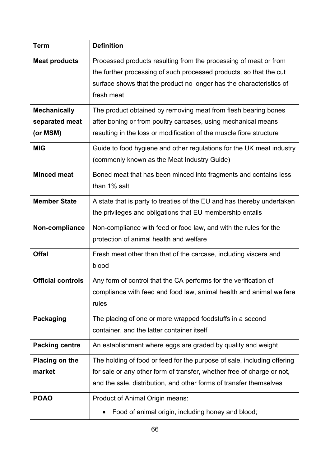| <b>Term</b>              | <b>Definition</b>                                                       |
|--------------------------|-------------------------------------------------------------------------|
| <b>Meat products</b>     | Processed products resulting from the processing of meat or from        |
|                          | the further processing of such processed products, so that the cut      |
|                          | surface shows that the product no longer has the characteristics of     |
|                          | fresh meat                                                              |
| <b>Mechanically</b>      | The product obtained by removing meat from flesh bearing bones          |
| separated meat           | after boning or from poultry carcases, using mechanical means           |
| (or MSM)                 | resulting in the loss or modification of the muscle fibre structure     |
| <b>MIG</b>               | Guide to food hygiene and other regulations for the UK meat industry    |
|                          | (commonly known as the Meat Industry Guide)                             |
| <b>Minced meat</b>       | Boned meat that has been minced into fragments and contains less        |
|                          | than 1% salt                                                            |
| <b>Member State</b>      | A state that is party to treaties of the EU and has thereby undertaken  |
|                          | the privileges and obligations that EU membership entails               |
| Non-compliance           | Non-compliance with feed or food law, and with the rules for the        |
|                          | protection of animal health and welfare                                 |
| <b>Offal</b>             | Fresh meat other than that of the carcase, including viscera and        |
|                          | blood                                                                   |
| <b>Official controls</b> | Any form of control that the CA performs for the verification of        |
|                          | compliance with feed and food law, animal health and animal welfare     |
|                          | rules                                                                   |
| <b>Packaging</b>         | The placing of one or more wrapped foodstuffs in a second               |
|                          | container, and the latter container itself                              |
| <b>Packing centre</b>    | An establishment where eggs are graded by quality and weight            |
| <b>Placing on the</b>    | The holding of food or feed for the purpose of sale, including offering |
| market                   | for sale or any other form of transfer, whether free of charge or not,  |
|                          | and the sale, distribution, and other forms of transfer themselves      |
| <b>POAO</b>              | Product of Animal Origin means:                                         |
|                          | Food of animal origin, including honey and blood;                       |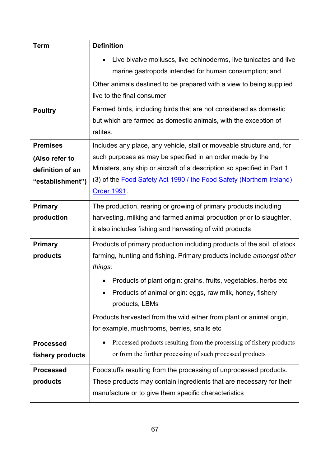| <b>Term</b>      | <b>Definition</b>                                                                 |
|------------------|-----------------------------------------------------------------------------------|
|                  | Live bivalve molluscs, live echinoderms, live tunicates and live<br>$\bullet$     |
|                  | marine gastropods intended for human consumption; and                             |
|                  | Other animals destined to be prepared with a view to being supplied               |
|                  | live to the final consumer                                                        |
| <b>Poultry</b>   | Farmed birds, including birds that are not considered as domestic                 |
|                  | but which are farmed as domestic animals, with the exception of                   |
|                  | ratites.                                                                          |
| <b>Premises</b>  | Includes any place, any vehicle, stall or moveable structure and, for             |
| (Also refer to   | such purposes as may be specified in an order made by the                         |
| definition of an | Ministers, any ship or aircraft of a description so specified in Part 1           |
| "establishment") | (3) of the Food Safety Act 1990 / the Food Safety (Northern Ireland)              |
|                  | <b>Order 1991</b>                                                                 |
| <b>Primary</b>   | The production, rearing or growing of primary products including                  |
| production       | harvesting, milking and farmed animal production prior to slaughter,              |
|                  | it also includes fishing and harvesting of wild products                          |
| <b>Primary</b>   | Products of primary production including products of the soil, of stock           |
| products         | farming, hunting and fishing. Primary products include amongst other              |
|                  | things:                                                                           |
|                  | Products of plant origin: grains, fruits, vegetables, herbs etc.                  |
|                  | Products of animal origin: eggs, raw milk, honey, fishery                         |
|                  | products, LBMs                                                                    |
|                  | Products harvested from the wild either from plant or animal origin,              |
|                  | for example, mushrooms, berries, snails etc                                       |
| <b>Processed</b> | Processed products resulting from the processing of fishery products<br>$\bullet$ |
| fishery products | or from the further processing of such processed products                         |
| <b>Processed</b> | Foodstuffs resulting from the processing of unprocessed products.                 |
| products         | These products may contain ingredients that are necessary for their               |
|                  | manufacture or to give them specific characteristics                              |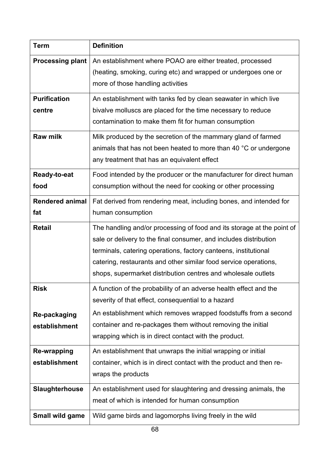| <b>Term</b>             | <b>Definition</b>                                                      |
|-------------------------|------------------------------------------------------------------------|
| <b>Processing plant</b> | An establishment where POAO are either treated, processed              |
|                         | (heating, smoking, curing etc) and wrapped or undergoes one or         |
|                         | more of those handling activities                                      |
| <b>Purification</b>     | An establishment with tanks fed by clean seawater in which live        |
| centre                  | bivalve molluscs are placed for the time necessary to reduce           |
|                         | contamination to make them fit for human consumption                   |
| <b>Raw milk</b>         | Milk produced by the secretion of the mammary gland of farmed          |
|                         | animals that has not been heated to more than 40 °C or undergone       |
|                         | any treatment that has an equivalent effect                            |
| Ready-to-eat            | Food intended by the producer or the manufacturer for direct human     |
| food                    | consumption without the need for cooking or other processing           |
| <b>Rendered animal</b>  | Fat derived from rendering meat, including bones, and intended for     |
| fat                     | human consumption                                                      |
| <b>Retail</b>           | The handling and/or processing of food and its storage at the point of |
|                         | sale or delivery to the final consumer, and includes distribution      |
|                         | terminals, catering operations, factory canteens, institutional        |
|                         | catering, restaurants and other similar food service operations,       |
|                         | shops, supermarket distribution centres and wholesale outlets          |
| <b>Risk</b>             | A function of the probability of an adverse health effect and the      |
|                         | severity of that effect, consequential to a hazard                     |
| Re-packaging            | An establishment which removes wrapped foodstuffs from a second        |
| establishment           | container and re-packages them without removing the initial            |
|                         | wrapping which is in direct contact with the product.                  |
| <b>Re-wrapping</b>      | An establishment that unwraps the initial wrapping or initial          |
| establishment           | container, which is in direct contact with the product and then re-    |
|                         | wraps the products                                                     |
| <b>Slaughterhouse</b>   | An establishment used for slaughtering and dressing animals, the       |
|                         | meat of which is intended for human consumption                        |
| Small wild game         | Wild game birds and lagomorphs living freely in the wild               |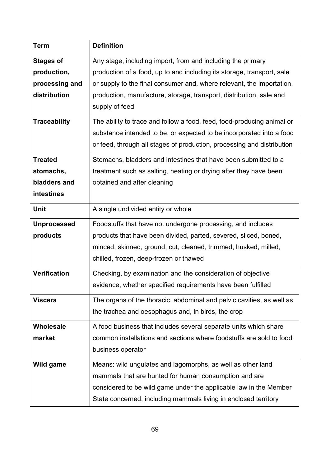| <b>Term</b>         | <b>Definition</b>                                                      |
|---------------------|------------------------------------------------------------------------|
| <b>Stages of</b>    | Any stage, including import, from and including the primary            |
| production,         | production of a food, up to and including its storage, transport, sale |
| processing and      | or supply to the final consumer and, where relevant, the importation,  |
| distribution        | production, manufacture, storage, transport, distribution, sale and    |
|                     | supply of feed                                                         |
| <b>Traceability</b> | The ability to trace and follow a food, feed, food-producing animal or |
|                     | substance intended to be, or expected to be incorporated into a food   |
|                     | or feed, through all stages of production, processing and distribution |
| <b>Treated</b>      | Stomachs, bladders and intestines that have been submitted to a        |
| stomachs,           | treatment such as salting, heating or drying after they have been      |
| bladders and        | obtained and after cleaning                                            |
| intestines          |                                                                        |
| <b>Unit</b>         | A single undivided entity or whole                                     |
| <b>Unprocessed</b>  | Foodstuffs that have not undergone processing, and includes            |
| products            | products that have been divided, parted, severed, sliced, boned,       |
|                     | minced, skinned, ground, cut, cleaned, trimmed, husked, milled,        |
|                     | chilled, frozen, deep-frozen or thawed                                 |
| <b>Verification</b> | Checking, by examination and the consideration of objective            |
|                     | evidence, whether specified requirements have been fulfilled           |
| <b>Viscera</b>      | The organs of the thoracic, abdominal and pelvic cavities, as well as  |
|                     | the trachea and oesophagus and, in birds, the crop                     |
| <b>Wholesale</b>    | A food business that includes several separate units which share       |
| market              | common installations and sections where foodstuffs are sold to food    |
|                     | business operator                                                      |
| Wild game           | Means: wild ungulates and lagomorphs, as well as other land            |
|                     | mammals that are hunted for human consumption and are                  |
|                     | considered to be wild game under the applicable law in the Member      |
|                     | State concerned, including mammals living in enclosed territory        |